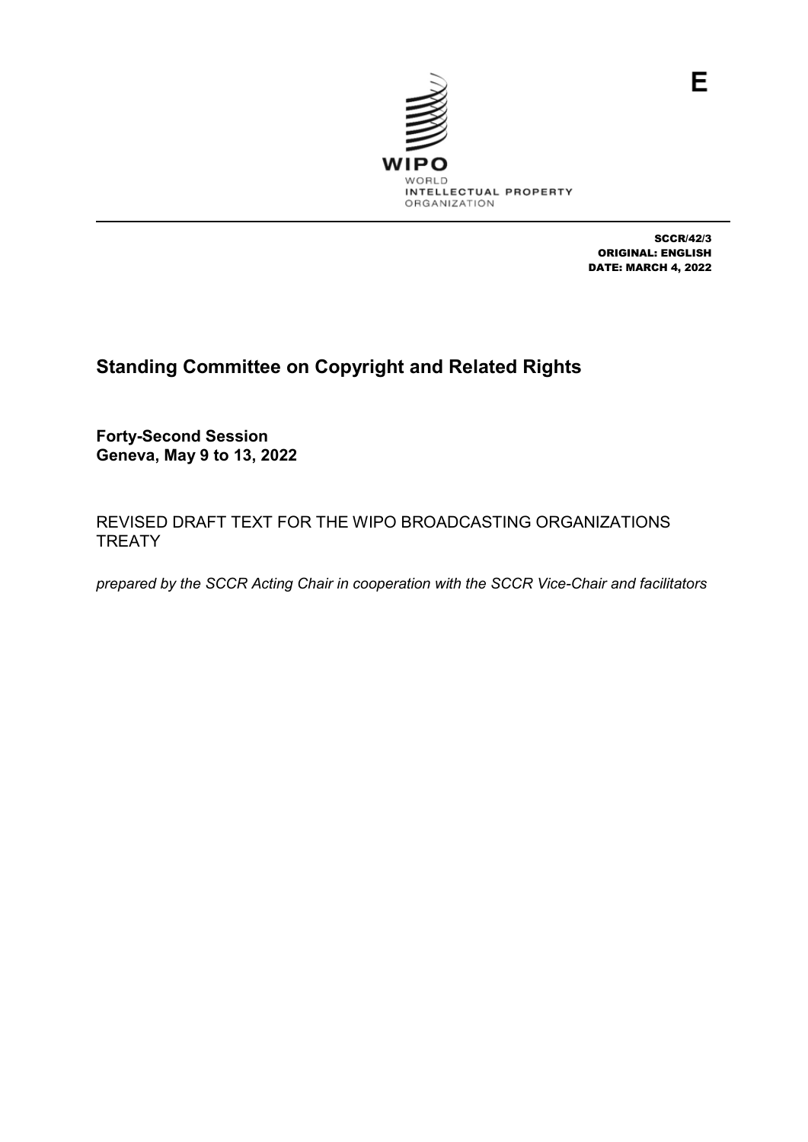

SCCR/42/3 ORIGINAL: ENGLISH DATE: MARCH 4, 2022

E

# **Standing Committee on Copyright and Related Rights**

**Forty-Second Session Geneva, May 9 to 13, 2022**

REVISED DRAFT TEXT FOR THE WIPO BROADCASTING ORGANIZATIONS **TREATY** 

*prepared by the SCCR Acting Chair in cooperation with the SCCR Vice-Chair and facilitators*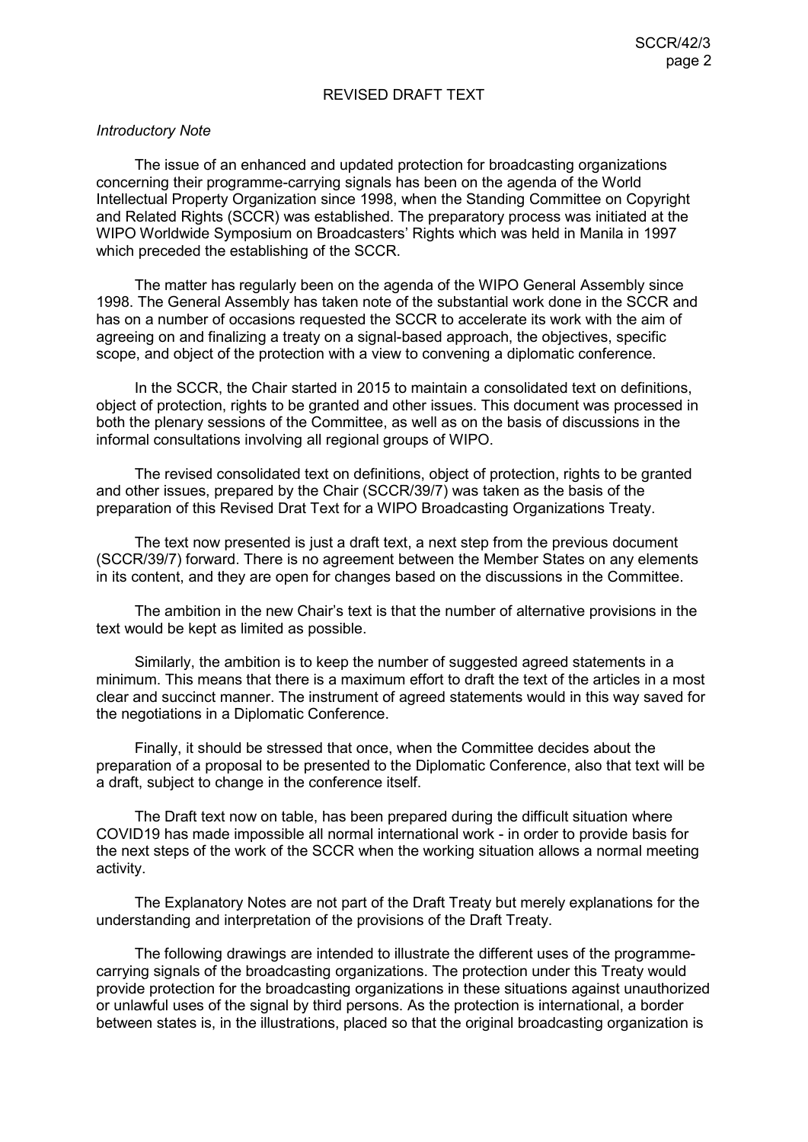#### REVISED DRAFT TEXT

#### *Introductory Note*

The issue of an enhanced and updated protection for broadcasting organizations concerning their programme-carrying signals has been on the agenda of the World Intellectual Property Organization since 1998, when the Standing Committee on Copyright and Related Rights (SCCR) was established. The preparatory process was initiated at the WIPO Worldwide Symposium on Broadcasters' Rights which was held in Manila in 1997 which preceded the establishing of the SCCR.

The matter has regularly been on the agenda of the WIPO General Assembly since 1998. The General Assembly has taken note of the substantial work done in the SCCR and has on a number of occasions requested the SCCR to accelerate its work with the aim of agreeing on and finalizing a treaty on a signal-based approach, the objectives, specific scope, and object of the protection with a view to convening a diplomatic conference.

In the SCCR, the Chair started in 2015 to maintain a consolidated text on definitions, object of protection, rights to be granted and other issues. This document was processed in both the plenary sessions of the Committee, as well as on the basis of discussions in the informal consultations involving all regional groups of WIPO.

The revised consolidated text on definitions, object of protection, rights to be granted and other issues, prepared by the Chair (SCCR/39/7) was taken as the basis of the preparation of this Revised Drat Text for a WIPO Broadcasting Organizations Treaty.

The text now presented is just a draft text, a next step from the previous document (SCCR/39/7) forward. There is no agreement between the Member States on any elements in its content, and they are open for changes based on the discussions in the Committee.

The ambition in the new Chair's text is that the number of alternative provisions in the text would be kept as limited as possible.

Similarly, the ambition is to keep the number of suggested agreed statements in a minimum. This means that there is a maximum effort to draft the text of the articles in a most clear and succinct manner. The instrument of agreed statements would in this way saved for the negotiations in a Diplomatic Conference.

Finally, it should be stressed that once, when the Committee decides about the preparation of a proposal to be presented to the Diplomatic Conference, also that text will be a draft, subject to change in the conference itself.

The Draft text now on table, has been prepared during the difficult situation where COVID19 has made impossible all normal international work - in order to provide basis for the next steps of the work of the SCCR when the working situation allows a normal meeting activity.

The Explanatory Notes are not part of the Draft Treaty but merely explanations for the understanding and interpretation of the provisions of the Draft Treaty.

The following drawings are intended to illustrate the different uses of the programmecarrying signals of the broadcasting organizations. The protection under this Treaty would provide protection for the broadcasting organizations in these situations against unauthorized or unlawful uses of the signal by third persons. As the protection is international, a border between states is, in the illustrations, placed so that the original broadcasting organization is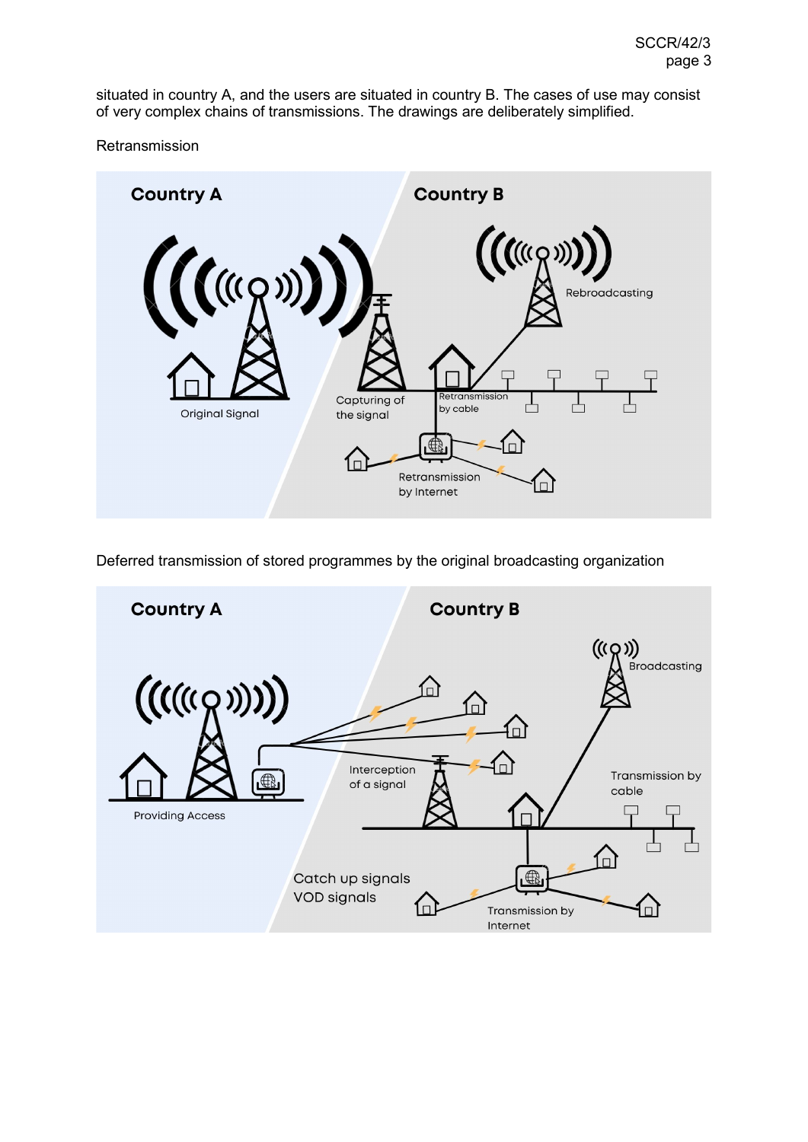situated in country A, and the users are situated in country B. The cases of use may consist of very complex chains of transmissions. The drawings are deliberately simplified.

**Retransmission** 



Deferred transmission of stored programmes by the original broadcasting organization

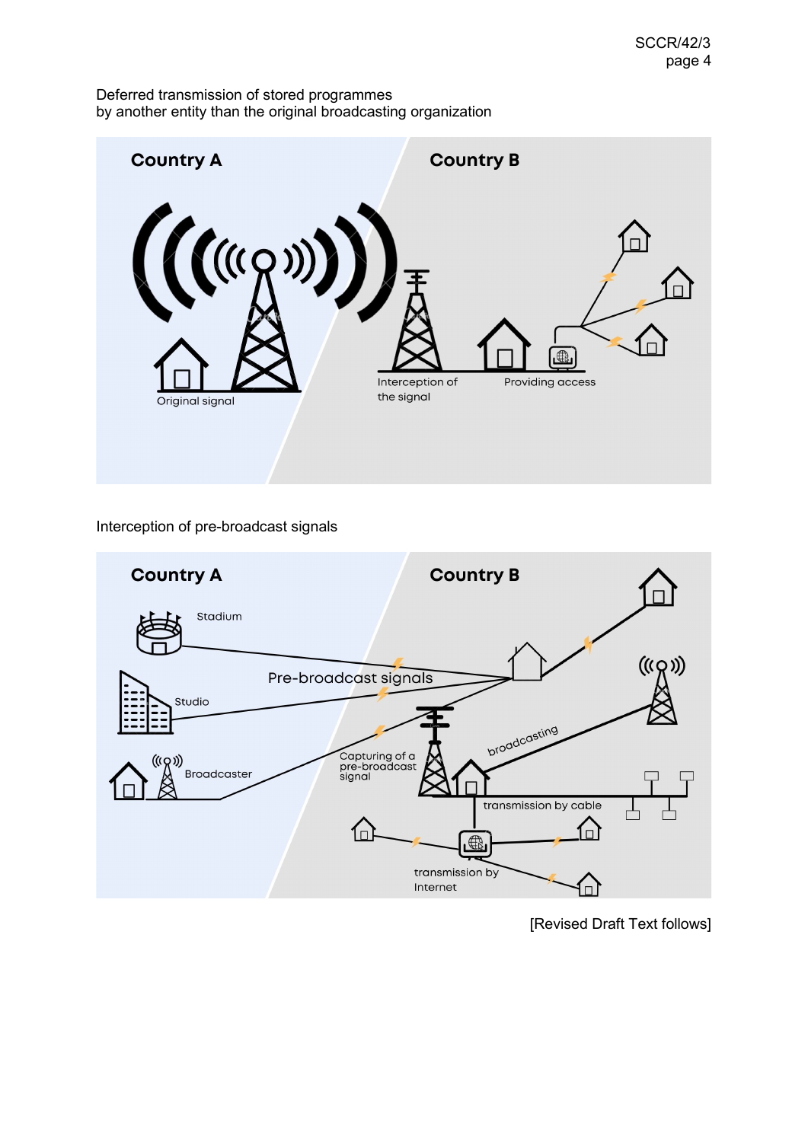Deferred transmission of stored programmes by another entity than the original broadcasting organization



# Interception of pre-broadcast signals



[Revised Draft Text follows]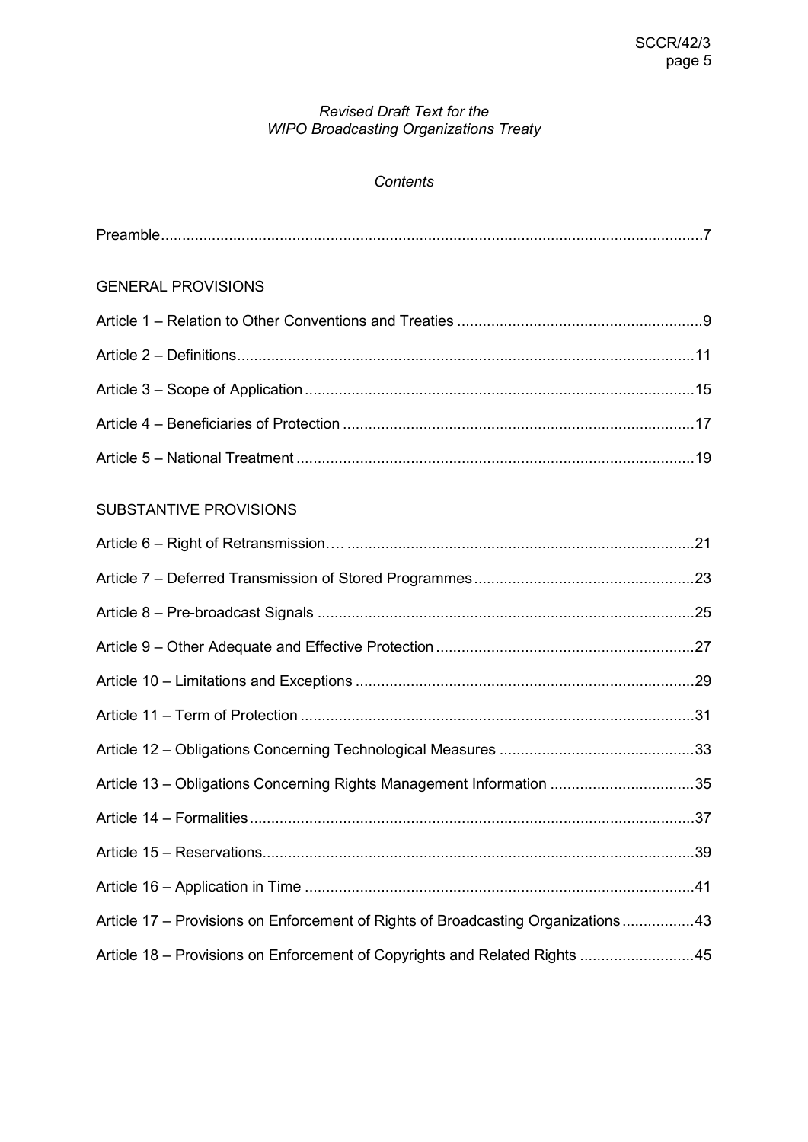# *Revised Draft Text for the WIPO Broadcasting Organizations Treaty*

# *Contents*

| <b>GENERAL PROVISIONS</b>                                                        |  |
|----------------------------------------------------------------------------------|--|
|                                                                                  |  |
|                                                                                  |  |
|                                                                                  |  |
|                                                                                  |  |
|                                                                                  |  |
| <b>SUBSTANTIVE PROVISIONS</b>                                                    |  |
|                                                                                  |  |
|                                                                                  |  |
|                                                                                  |  |
|                                                                                  |  |
|                                                                                  |  |
|                                                                                  |  |
|                                                                                  |  |
| Article 13 - Obligations Concerning Rights Management Information 35             |  |
|                                                                                  |  |
|                                                                                  |  |
|                                                                                  |  |
| Article 17 – Provisions on Enforcement of Rights of Broadcasting Organizations43 |  |
| Article 18 – Provisions on Enforcement of Copyrights and Related Rights 45       |  |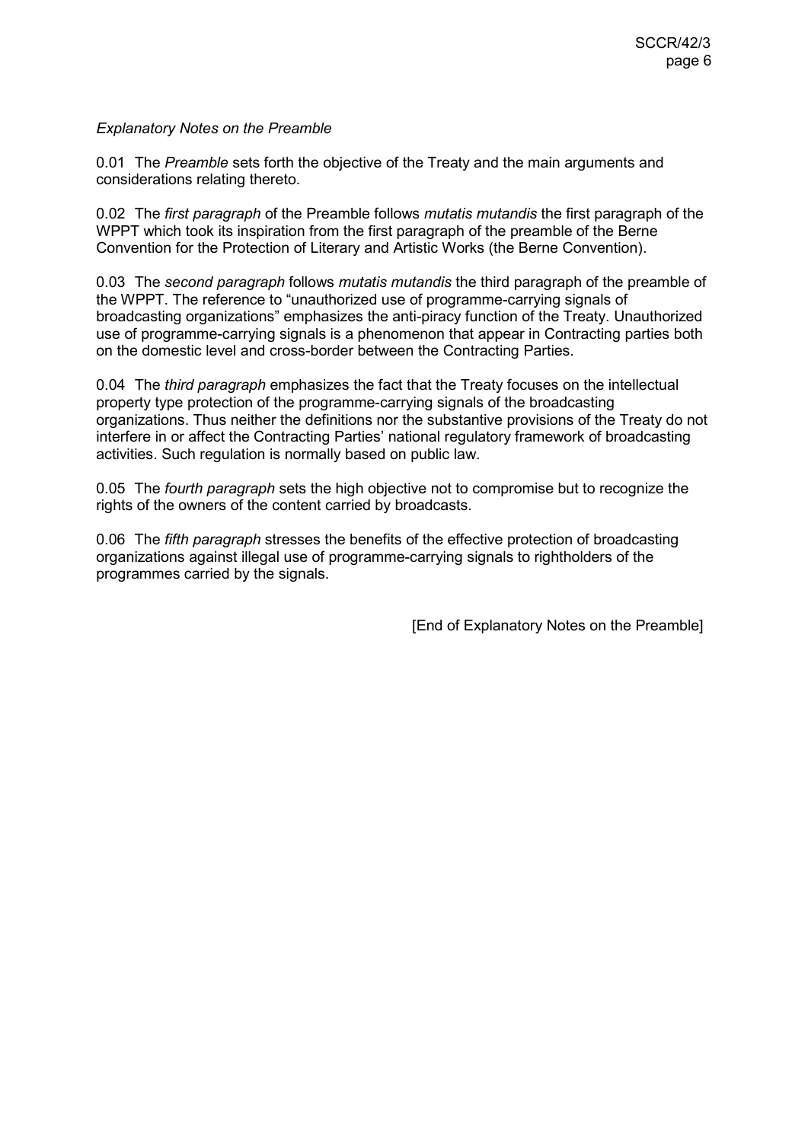## *Explanatory Notes on the Preamble*

0.01 The *Preamble* sets forth the objective of the Treaty and the main arguments and considerations relating thereto.

0.02 The *first paragraph* of the Preamble follows *mutatis mutandis* the first paragraph of the WPPT which took its inspiration from the first paragraph of the preamble of the Berne Convention for the Protection of Literary and Artistic Works (the Berne Convention).

0.03 The *second paragraph* follows *mutatis mutandis* the third paragraph of the preamble of the WPPT. The reference to "unauthorized use of programme-carrying signals of broadcasting organizations" emphasizes the anti-piracy function of the Treaty. Unauthorized use of programme-carrying signals is a phenomenon that appear in Contracting parties both on the domestic level and cross-border between the Contracting Parties.

0.04 The *third paragraph* emphasizes the fact that the Treaty focuses on the intellectual property type protection of the programme-carrying signals of the broadcasting organizations. Thus neither the definitions nor the substantive provisions of the Treaty do not interfere in or affect the Contracting Parties' national regulatory framework of broadcasting activities. Such regulation is normally based on public law.

0.05 The *fourth paragraph* sets the high objective not to compromise but to recognize the rights of the owners of the content carried by broadcasts.

0.06 The *fifth paragraph* stresses the benefits of the effective protection of broadcasting organizations against illegal use of programme-carrying signals to rightholders of the programmes carried by the signals.

[End of Explanatory Notes on the Preamble]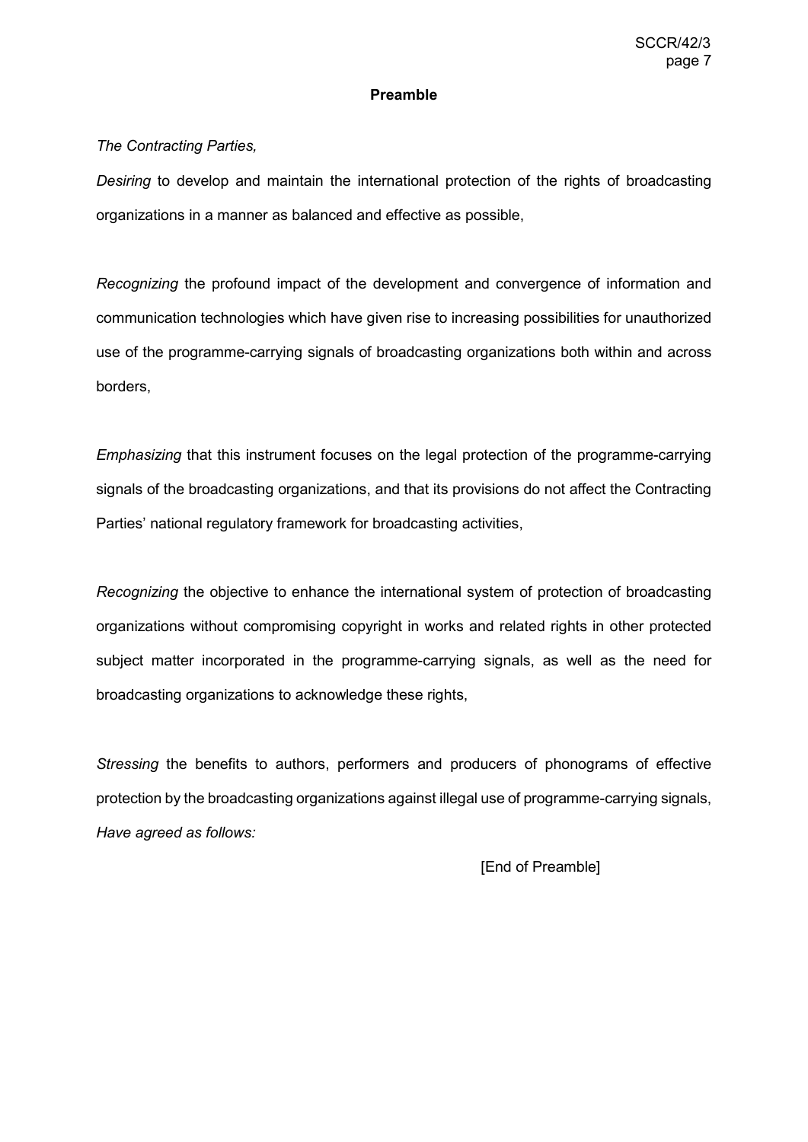#### **Preamble**

# *The Contracting Parties,*

*Desiring* to develop and maintain the international protection of the rights of broadcasting organizations in a manner as balanced and effective as possible,

*Recognizing* the profound impact of the development and convergence of information and communication technologies which have given rise to increasing possibilities for unauthorized use of the programme-carrying signals of broadcasting organizations both within and across borders,

*Emphasizing* that this instrument focuses on the legal protection of the programme-carrying signals of the broadcasting organizations, and that its provisions do not affect the Contracting Parties' national regulatory framework for broadcasting activities,

*Recognizing* the objective to enhance the international system of protection of broadcasting organizations without compromising copyright in works and related rights in other protected subject matter incorporated in the programme-carrying signals, as well as the need for broadcasting organizations to acknowledge these rights,

*Stressing* the benefits to authors, performers and producers of phonograms of effective protection by the broadcasting organizations against illegal use of programme-carrying signals, *Have agreed as follows:*

[End of Preamble]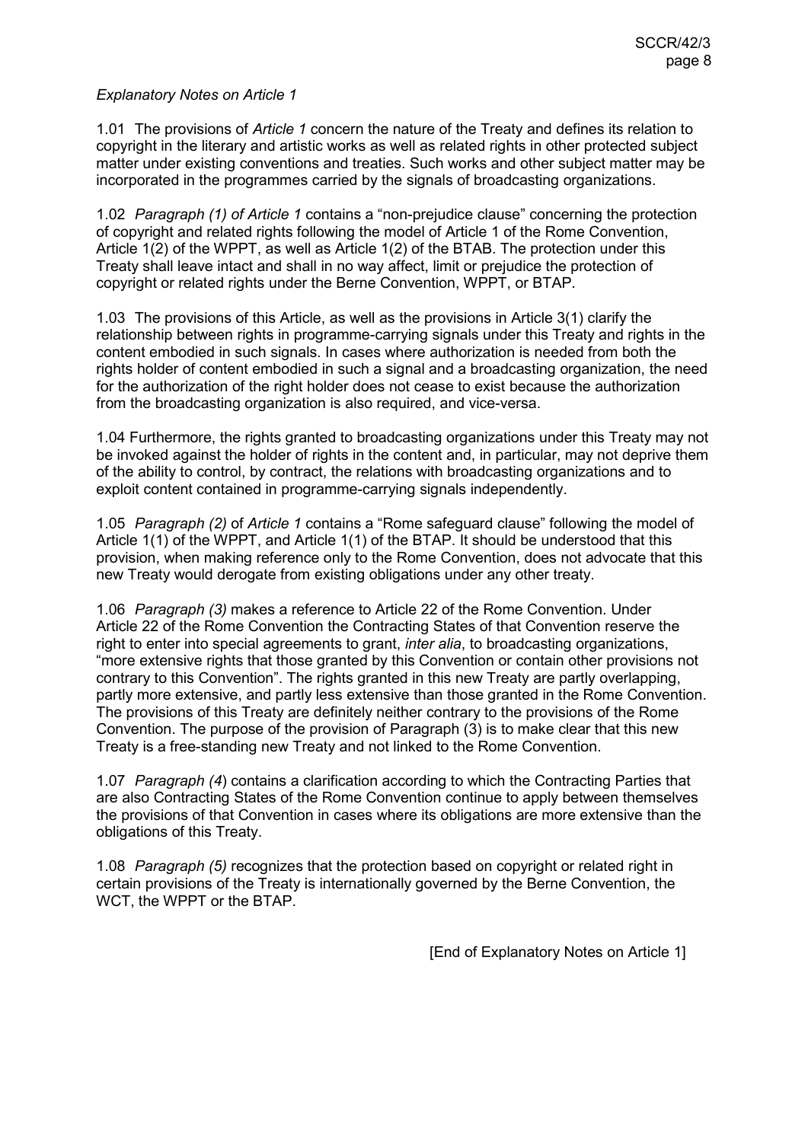1.01 The provisions of *Article 1* concern the nature of the Treaty and defines its relation to copyright in the literary and artistic works as well as related rights in other protected subject matter under existing conventions and treaties. Such works and other subject matter may be incorporated in the programmes carried by the signals of broadcasting organizations.

1.02 *Paragraph (1) of Article 1* contains a "non-prejudice clause" concerning the protection of copyright and related rights following the model of Article 1 of the Rome Convention, Article 1(2) of the WPPT, as well as Article 1(2) of the BTAB. The protection under this Treaty shall leave intact and shall in no way affect, limit or prejudice the protection of copyright or related rights under the Berne Convention, WPPT, or BTAP.

1.03 The provisions of this Article, as well as the provisions in Article 3(1) clarify the relationship between rights in programme-carrying signals under this Treaty and rights in the content embodied in such signals. In cases where authorization is needed from both the rights holder of content embodied in such a signal and a broadcasting organization, the need for the authorization of the right holder does not cease to exist because the authorization from the broadcasting organization is also required, and vice-versa.

1.04 Furthermore, the rights granted to broadcasting organizations under this Treaty may not be invoked against the holder of rights in the content and, in particular, may not deprive them of the ability to control, by contract, the relations with broadcasting organizations and to exploit content contained in programme-carrying signals independently.

1.05 *Paragraph (2)* of *Article 1* contains a "Rome safeguard clause" following the model of Article 1(1) of the WPPT, and Article 1(1) of the BTAP. It should be understood that this provision, when making reference only to the Rome Convention, does not advocate that this new Treaty would derogate from existing obligations under any other treaty.

1.06 *Paragraph (3)* makes a reference to Article 22 of the Rome Convention. Under Article 22 of the Rome Convention the Contracting States of that Convention reserve the right to enter into special agreements to grant, *inter alia*, to broadcasting organizations, "more extensive rights that those granted by this Convention or contain other provisions not contrary to this Convention". The rights granted in this new Treaty are partly overlapping, partly more extensive, and partly less extensive than those granted in the Rome Convention. The provisions of this Treaty are definitely neither contrary to the provisions of the Rome Convention. The purpose of the provision of Paragraph (3) is to make clear that this new Treaty is a free-standing new Treaty and not linked to the Rome Convention.

1.07 *Paragraph (4*) contains a clarification according to which the Contracting Parties that are also Contracting States of the Rome Convention continue to apply between themselves the provisions of that Convention in cases where its obligations are more extensive than the obligations of this Treaty.

1.08 *Paragraph (5)* recognizes that the protection based on copyright or related right in certain provisions of the Treaty is internationally governed by the Berne Convention, the WCT, the WPPT or the BTAP.

[End of Explanatory Notes on Article 1]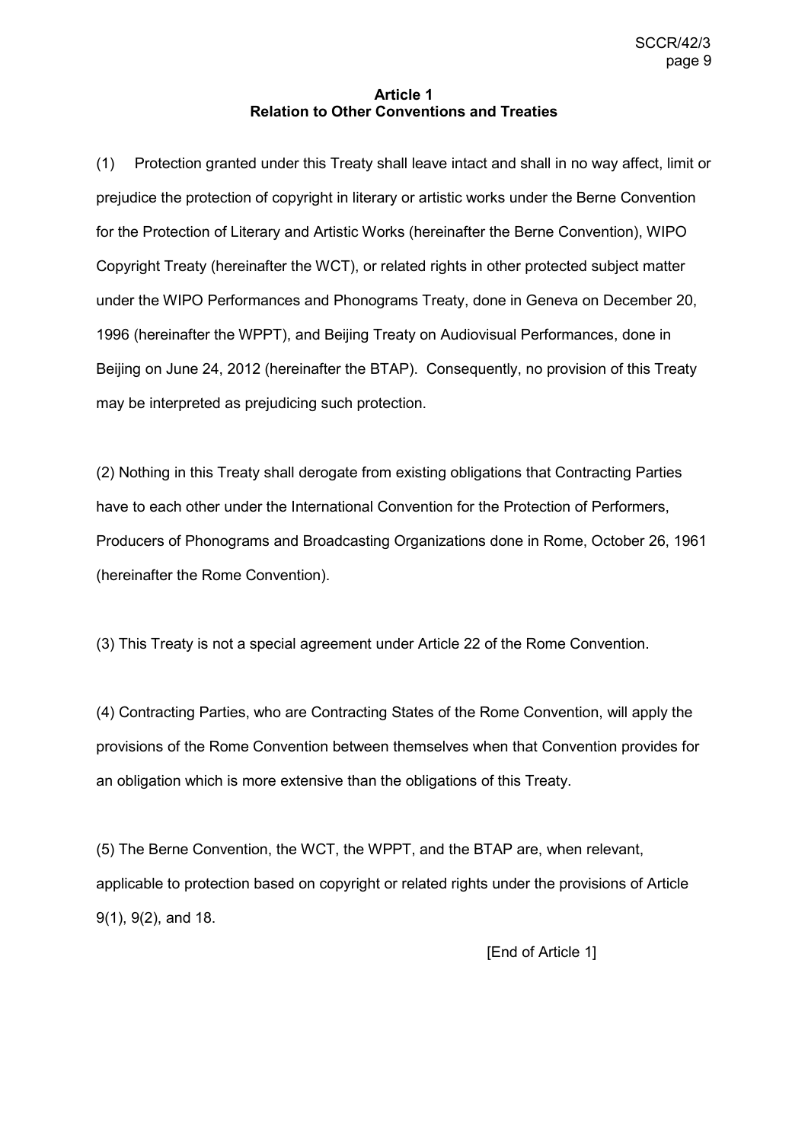### **Article 1 Relation to Other Conventions and Treaties**

(1) Protection granted under this Treaty shall leave intact and shall in no way affect, limit or prejudice the protection of copyright in literary or artistic works under the Berne Convention for the Protection of Literary and Artistic Works (hereinafter the Berne Convention), WIPO Copyright Treaty (hereinafter the WCT), or related rights in other protected subject matter under the WIPO Performances and Phonograms Treaty, done in Geneva on December 20, 1996 (hereinafter the WPPT), and Beijing Treaty on Audiovisual Performances, done in Beijing on June 24, 2012 (hereinafter the BTAP). Consequently, no provision of this Treaty may be interpreted as prejudicing such protection.

(2) Nothing in this Treaty shall derogate from existing obligations that Contracting Parties have to each other under the International Convention for the Protection of Performers, Producers of Phonograms and Broadcasting Organizations done in Rome, October 26, 1961 (hereinafter the Rome Convention).

(3) This Treaty is not a special agreement under Article 22 of the Rome Convention.

(4) Contracting Parties, who are Contracting States of the Rome Convention, will apply the provisions of the Rome Convention between themselves when that Convention provides for an obligation which is more extensive than the obligations of this Treaty.

(5) The Berne Convention, the WCT, the WPPT, and the BTAP are, when relevant, applicable to protection based on copyright or related rights under the provisions of Article 9(1), 9(2), and 18.

[End of Article 1]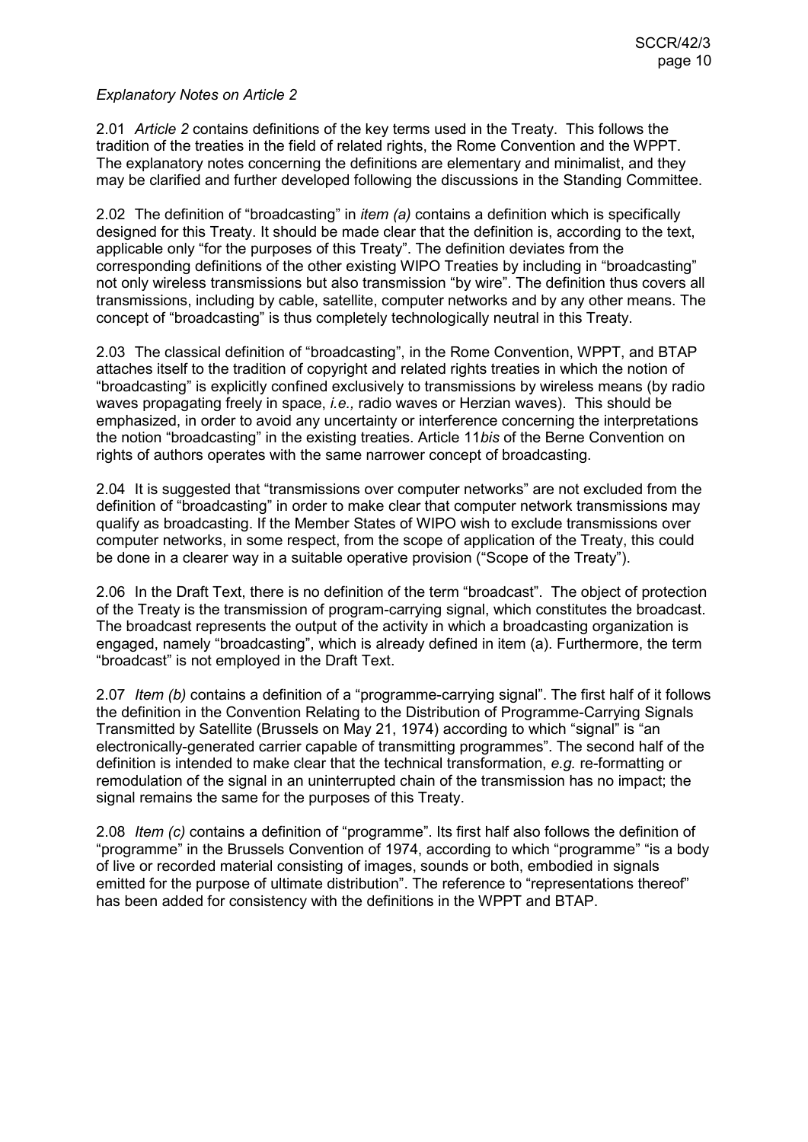2.01 *Article 2* contains definitions of the key terms used in the Treaty. This follows the tradition of the treaties in the field of related rights, the Rome Convention and the WPPT. The explanatory notes concerning the definitions are elementary and minimalist, and they may be clarified and further developed following the discussions in the Standing Committee.

2.02 The definition of "broadcasting" in *item (a)* contains a definition which is specifically designed for this Treaty. It should be made clear that the definition is, according to the text, applicable only "for the purposes of this Treaty". The definition deviates from the corresponding definitions of the other existing WIPO Treaties by including in "broadcasting" not only wireless transmissions but also transmission "by wire". The definition thus covers all transmissions, including by cable, satellite, computer networks and by any other means. The concept of "broadcasting" is thus completely technologically neutral in this Treaty.

2.03 The classical definition of "broadcasting", in the Rome Convention, WPPT, and BTAP attaches itself to the tradition of copyright and related rights treaties in which the notion of "broadcasting" is explicitly confined exclusively to transmissions by wireless means (by radio waves propagating freely in space, *i.e.,* radio waves or Herzian waves). This should be emphasized, in order to avoid any uncertainty or interference concerning the interpretations the notion "broadcasting" in the existing treaties. Article 11*bis* of the Berne Convention on rights of authors operates with the same narrower concept of broadcasting.

2.04 It is suggested that "transmissions over computer networks" are not excluded from the definition of "broadcasting" in order to make clear that computer network transmissions may qualify as broadcasting. If the Member States of WIPO wish to exclude transmissions over computer networks, in some respect, from the scope of application of the Treaty, this could be done in a clearer way in a suitable operative provision ("Scope of the Treaty").

2.06 In the Draft Text, there is no definition of the term "broadcast". The object of protection of the Treaty is the transmission of program-carrying signal, which constitutes the broadcast. The broadcast represents the output of the activity in which a broadcasting organization is engaged, namely "broadcasting", which is already defined in item (a). Furthermore, the term "broadcast" is not employed in the Draft Text.

2.07 *Item (b)* contains a definition of a "programme-carrying signal". The first half of it follows the definition in the Convention Relating to the Distribution of Programme-Carrying Signals Transmitted by Satellite (Brussels on May 21, 1974) according to which "signal" is "an electronically-generated carrier capable of transmitting programmes". The second half of the definition is intended to make clear that the technical transformation, *e.g.* re-formatting or remodulation of the signal in an uninterrupted chain of the transmission has no impact; the signal remains the same for the purposes of this Treaty.

2.08 *Item (c)* contains a definition of "programme". Its first half also follows the definition of "programme" in the Brussels Convention of 1974, according to which "programme" "is a body of live or recorded material consisting of images, sounds or both, embodied in signals emitted for the purpose of ultimate distribution". The reference to "representations thereof" has been added for consistency with the definitions in the WPPT and BTAP.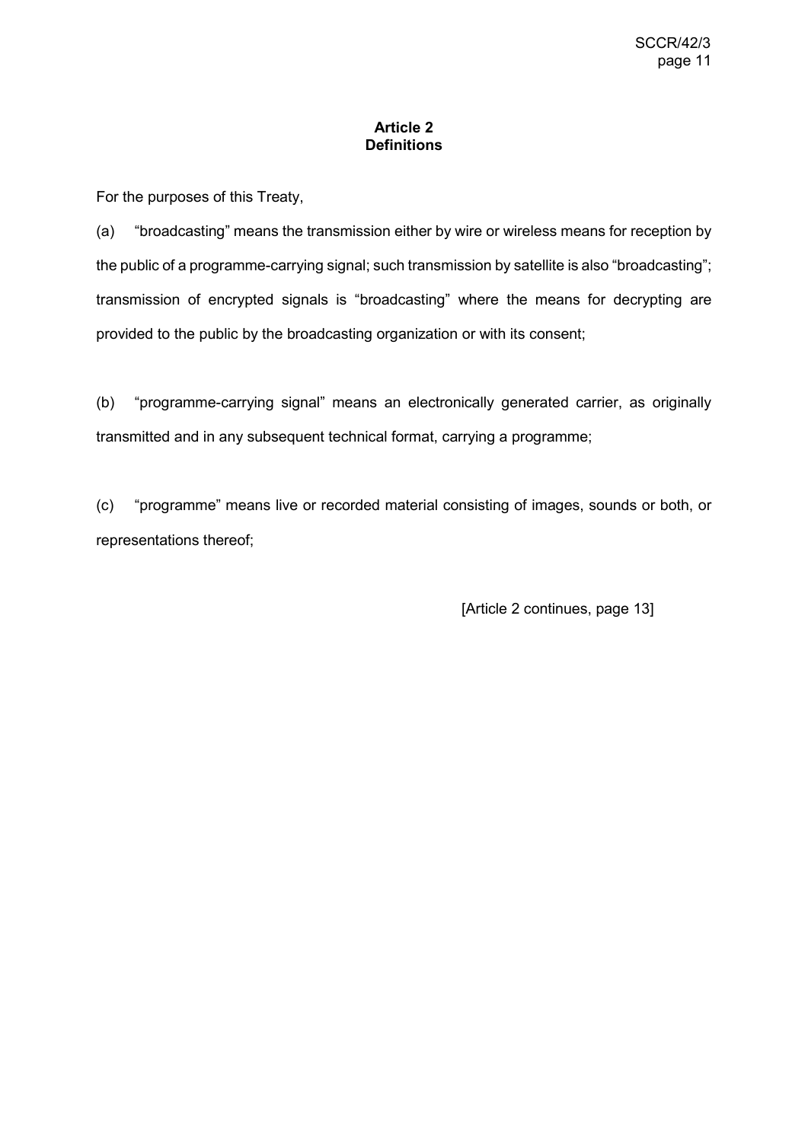## **Article 2 Definitions**

For the purposes of this Treaty,

(a) "broadcasting" means the transmission either by wire or wireless means for reception by the public of a programme-carrying signal; such transmission by satellite is also "broadcasting"; transmission of encrypted signals is "broadcasting" where the means for decrypting are provided to the public by the broadcasting organization or with its consent;

(b) "programme-carrying signal" means an electronically generated carrier, as originally transmitted and in any subsequent technical format, carrying a programme;

(c) "programme" means live or recorded material consisting of images, sounds or both, or representations thereof;

[Article 2 continues, page 13]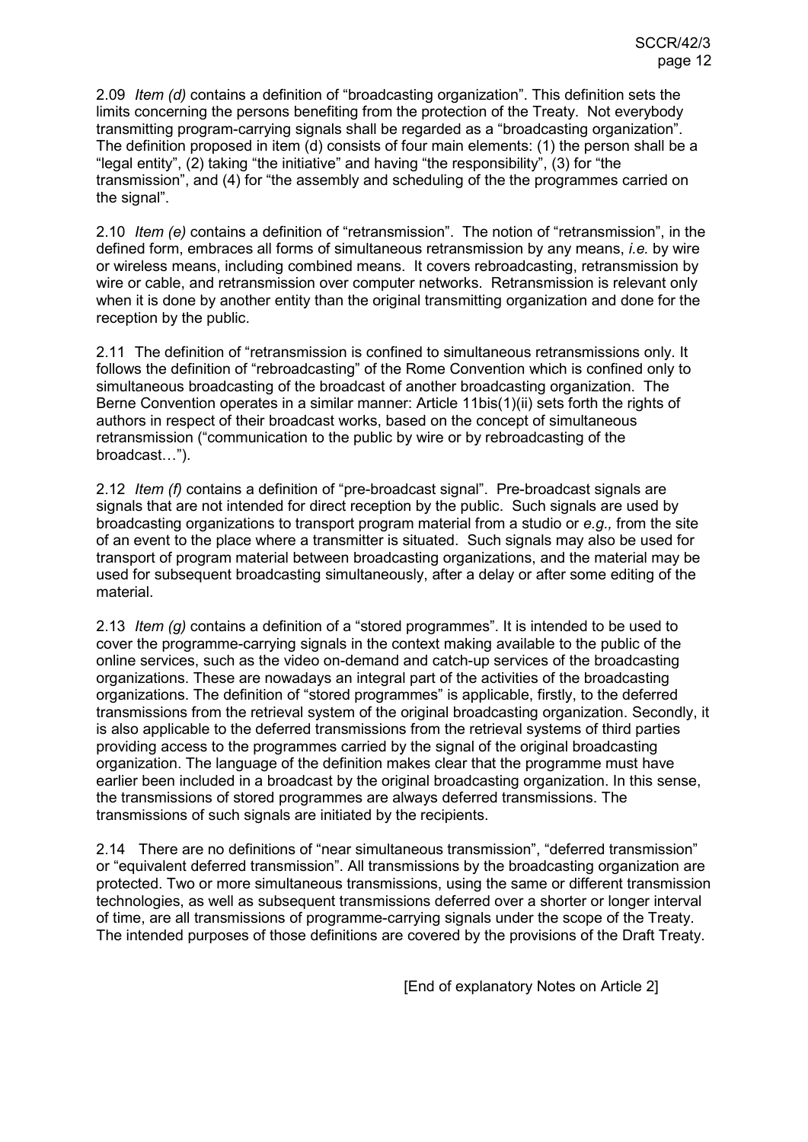2.09 *Item (d)* contains a definition of "broadcasting organization". This definition sets the limits concerning the persons benefiting from the protection of the Treaty. Not everybody transmitting program-carrying signals shall be regarded as a "broadcasting organization". The definition proposed in item (d) consists of four main elements: (1) the person shall be a "legal entity", (2) taking "the initiative" and having "the responsibility", (3) for "the transmission", and (4) for "the assembly and scheduling of the the programmes carried on the signal".

2.10 *Item (e)* contains a definition of "retransmission". The notion of "retransmission", in the defined form, embraces all forms of simultaneous retransmission by any means, *i.e.* by wire or wireless means, including combined means. It covers rebroadcasting, retransmission by wire or cable, and retransmission over computer networks. Retransmission is relevant only when it is done by another entity than the original transmitting organization and done for the reception by the public.

2.11 The definition of "retransmission is confined to simultaneous retransmissions only. It follows the definition of "rebroadcasting" of the Rome Convention which is confined only to simultaneous broadcasting of the broadcast of another broadcasting organization. The Berne Convention operates in a similar manner: Article 11bis(1)(ii) sets forth the rights of authors in respect of their broadcast works, based on the concept of simultaneous retransmission ("communication to the public by wire or by rebroadcasting of the broadcast…").

2.12 *Item (f)* contains a definition of "pre-broadcast signal". Pre-broadcast signals are signals that are not intended for direct reception by the public. Such signals are used by broadcasting organizations to transport program material from a studio or *e.g.,* from the site of an event to the place where a transmitter is situated. Such signals may also be used for transport of program material between broadcasting organizations, and the material may be used for subsequent broadcasting simultaneously, after a delay or after some editing of the material.

2.13 *Item (g)* contains a definition of a "stored programmes". It is intended to be used to cover the programme-carrying signals in the context making available to the public of the online services, such as the video on-demand and catch-up services of the broadcasting organizations. These are nowadays an integral part of the activities of the broadcasting organizations. The definition of "stored programmes" is applicable, firstly, to the deferred transmissions from the retrieval system of the original broadcasting organization. Secondly, it is also applicable to the deferred transmissions from the retrieval systems of third parties providing access to the programmes carried by the signal of the original broadcasting organization. The language of the definition makes clear that the programme must have earlier been included in a broadcast by the original broadcasting organization. In this sense, the transmissions of stored programmes are always deferred transmissions. The transmissions of such signals are initiated by the recipients.

2.14 There are no definitions of "near simultaneous transmission", "deferred transmission" or "equivalent deferred transmission". All transmissions by the broadcasting organization are protected. Two or more simultaneous transmissions, using the same or different transmission technologies, as well as subsequent transmissions deferred over a shorter or longer interval of time, are all transmissions of programme-carrying signals under the scope of the Treaty. The intended purposes of those definitions are covered by the provisions of the Draft Treaty.

[End of explanatory Notes on Article 2]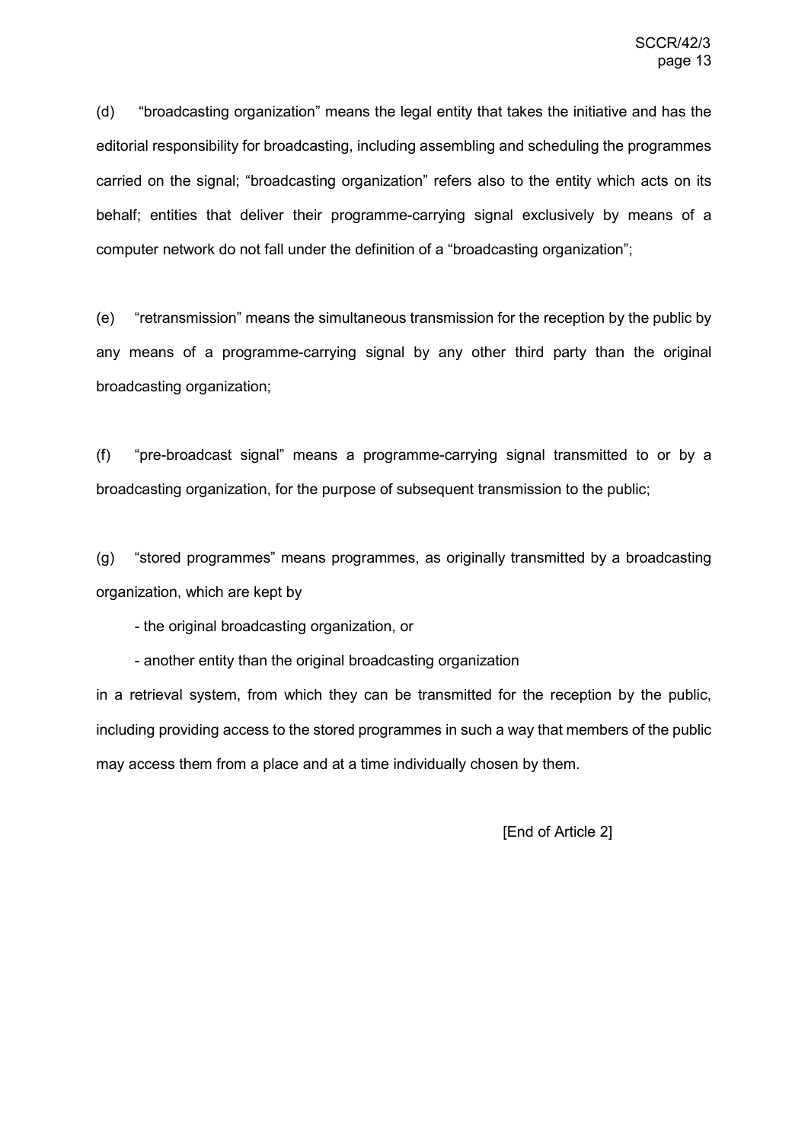(d) "broadcasting organization" means the legal entity that takes the initiative and has the editorial responsibility for broadcasting, including assembling and scheduling the programmes carried on the signal; "broadcasting organization" refers also to the entity which acts on its behalf; entities that deliver their programme-carrying signal exclusively by means of a computer network do not fall under the definition of a "broadcasting organization";

(e) "retransmission" means the simultaneous transmission for the reception by the public by any means of a programme-carrying signal by any other third party than the original broadcasting organization;

(f) "pre-broadcast signal" means a programme-carrying signal transmitted to or by a broadcasting organization, for the purpose of subsequent transmission to the public;

(g) "stored programmes" means programmes, as originally transmitted by a broadcasting organization, which are kept by

- the original broadcasting organization, or

- another entity than the original broadcasting organization

in a retrieval system, from which they can be transmitted for the reception by the public, including providing access to the stored programmes in such a way that members of the public may access them from a place and at a time individually chosen by them.

[End of Article 2]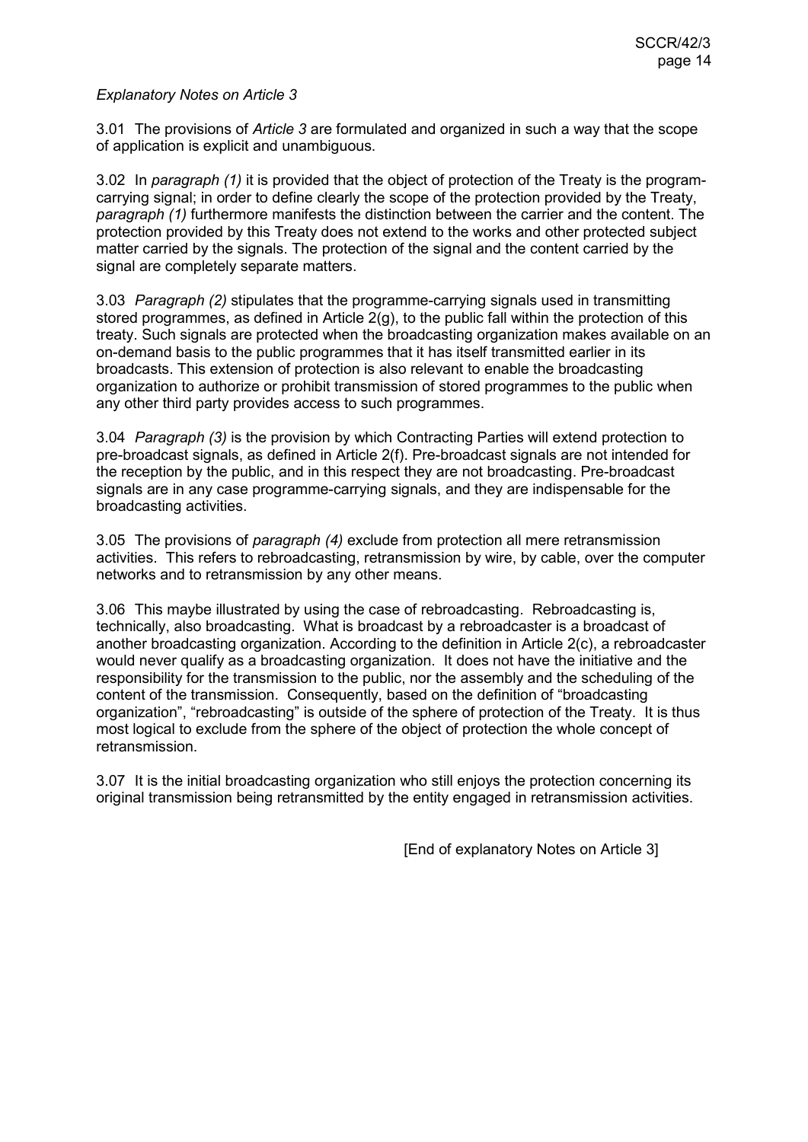3.01 The provisions of *Article 3* are formulated and organized in such a way that the scope of application is explicit and unambiguous.

3.02 In *paragraph (1)* it is provided that the object of protection of the Treaty is the programcarrying signal; in order to define clearly the scope of the protection provided by the Treaty, *paragraph (1)* furthermore manifests the distinction between the carrier and the content. The protection provided by this Treaty does not extend to the works and other protected subject matter carried by the signals. The protection of the signal and the content carried by the signal are completely separate matters.

3.03 *Paragraph (2)* stipulates that the programme-carrying signals used in transmitting stored programmes, as defined in Article 2(g), to the public fall within the protection of this treaty. Such signals are protected when the broadcasting organization makes available on an on-demand basis to the public programmes that it has itself transmitted earlier in its broadcasts. This extension of protection is also relevant to enable the broadcasting organization to authorize or prohibit transmission of stored programmes to the public when any other third party provides access to such programmes.

3.04 *Paragraph (3)* is the provision by which Contracting Parties will extend protection to pre-broadcast signals, as defined in Article 2(f). Pre-broadcast signals are not intended for the reception by the public, and in this respect they are not broadcasting. Pre-broadcast signals are in any case programme-carrying signals, and they are indispensable for the broadcasting activities.

3.05 The provisions of *paragraph (4)* exclude from protection all mere retransmission activities. This refers to rebroadcasting, retransmission by wire, by cable, over the computer networks and to retransmission by any other means.

3.06 This maybe illustrated by using the case of rebroadcasting. Rebroadcasting is, technically, also broadcasting. What is broadcast by a rebroadcaster is a broadcast of another broadcasting organization. According to the definition in Article 2(c), a rebroadcaster would never qualify as a broadcasting organization. It does not have the initiative and the responsibility for the transmission to the public, nor the assembly and the scheduling of the content of the transmission. Consequently, based on the definition of "broadcasting organization", "rebroadcasting" is outside of the sphere of protection of the Treaty. It is thus most logical to exclude from the sphere of the object of protection the whole concept of retransmission.

3.07 It is the initial broadcasting organization who still enjoys the protection concerning its original transmission being retransmitted by the entity engaged in retransmission activities.

[End of explanatory Notes on Article 3]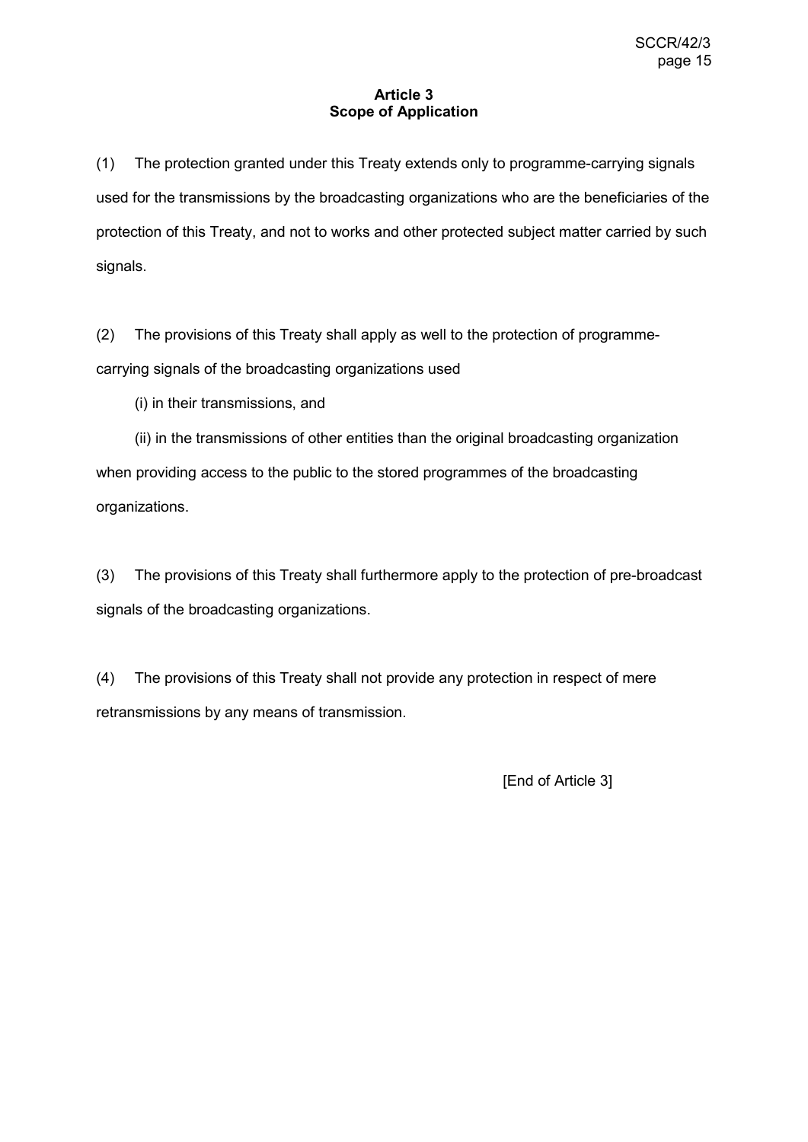## **Article 3 Scope of Application**

(1) The protection granted under this Treaty extends only to programme-carrying signals used for the transmissions by the broadcasting organizations who are the beneficiaries of the protection of this Treaty, and not to works and other protected subject matter carried by such signals.

(2) The provisions of this Treaty shall apply as well to the protection of programmecarrying signals of the broadcasting organizations used

(i) in their transmissions, and

(ii) in the transmissions of other entities than the original broadcasting organization when providing access to the public to the stored programmes of the broadcasting organizations.

(3) The provisions of this Treaty shall furthermore apply to the protection of pre-broadcast signals of the broadcasting organizations.

(4) The provisions of this Treaty shall not provide any protection in respect of mere retransmissions by any means of transmission.

[End of Article 3]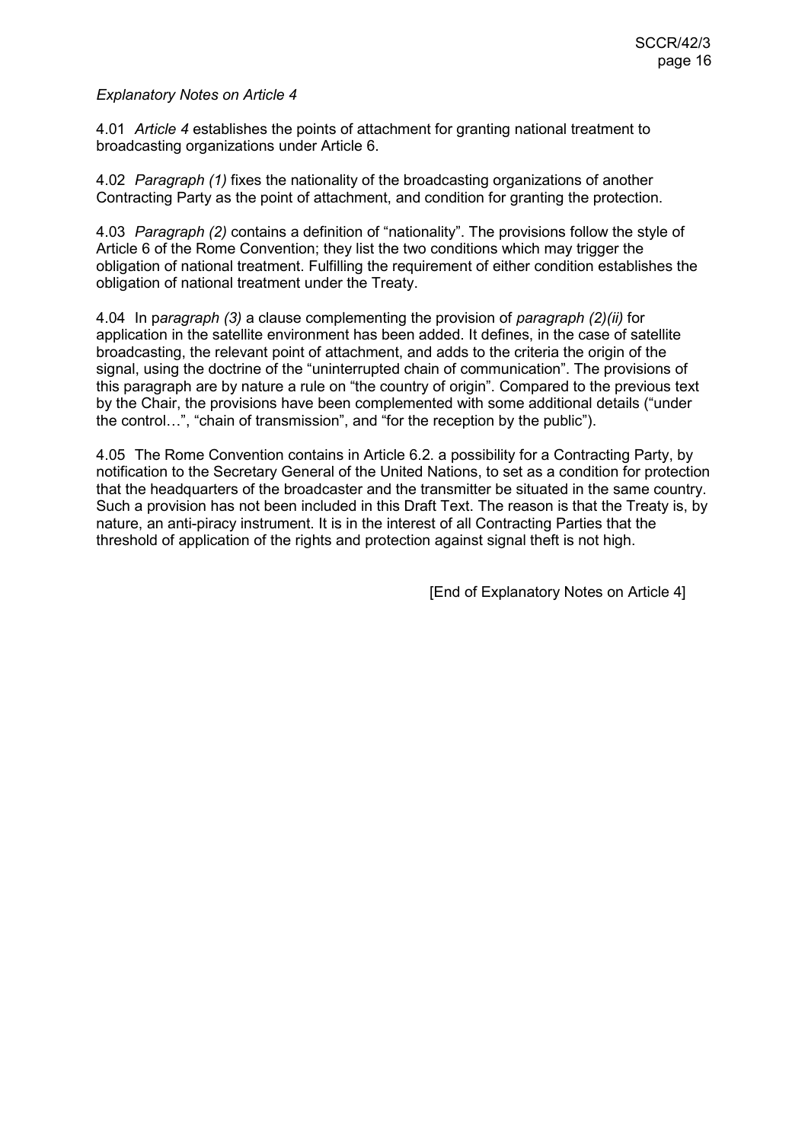4.01 *Article 4* establishes the points of attachment for granting national treatment to broadcasting organizations under Article 6.

4.02 *Paragraph (1)* fixes the nationality of the broadcasting organizations of another Contracting Party as the point of attachment, and condition for granting the protection.

4.03 *Paragraph (2)* contains a definition of "nationality". The provisions follow the style of Article 6 of the Rome Convention; they list the two conditions which may trigger the obligation of national treatment. Fulfilling the requirement of either condition establishes the obligation of national treatment under the Treaty.

4.04 In p*aragraph (3)* a clause complementing the provision of *paragraph (2)(ii)* for application in the satellite environment has been added. It defines, in the case of satellite broadcasting, the relevant point of attachment, and adds to the criteria the origin of the signal, using the doctrine of the "uninterrupted chain of communication". The provisions of this paragraph are by nature a rule on "the country of origin". Compared to the previous text by the Chair, the provisions have been complemented with some additional details ("under the control…", "chain of transmission", and "for the reception by the public").

4.05 The Rome Convention contains in Article 6.2. a possibility for a Contracting Party, by notification to the Secretary General of the United Nations, to set as a condition for protection that the headquarters of the broadcaster and the transmitter be situated in the same country. Such a provision has not been included in this Draft Text. The reason is that the Treaty is, by nature, an anti-piracy instrument. It is in the interest of all Contracting Parties that the threshold of application of the rights and protection against signal theft is not high.

[End of Explanatory Notes on Article 4]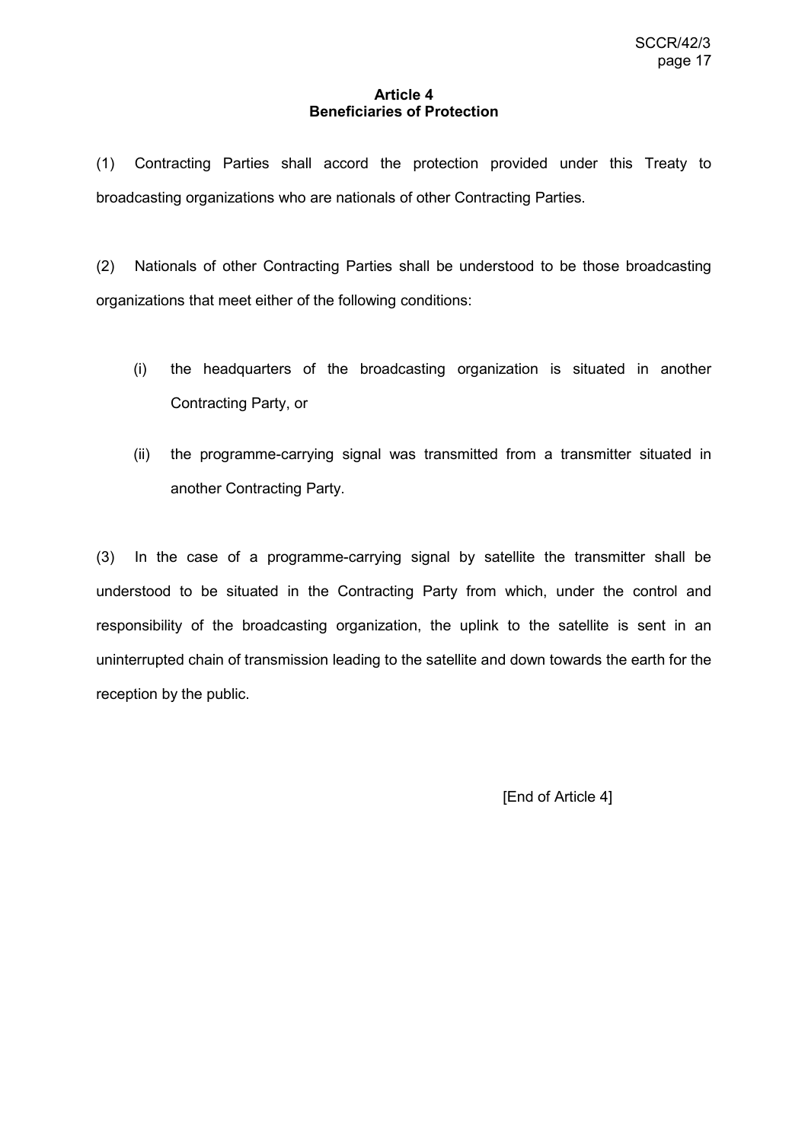### **Article 4 Beneficiaries of Protection**

(1) Contracting Parties shall accord the protection provided under this Treaty to broadcasting organizations who are nationals of other Contracting Parties.

(2) Nationals of other Contracting Parties shall be understood to be those broadcasting organizations that meet either of the following conditions:

- (i) the headquarters of the broadcasting organization is situated in another Contracting Party, or
- (ii) the programme-carrying signal was transmitted from a transmitter situated in another Contracting Party.

(3) In the case of a programme-carrying signal by satellite the transmitter shall be understood to be situated in the Contracting Party from which, under the control and responsibility of the broadcasting organization, the uplink to the satellite is sent in an uninterrupted chain of transmission leading to the satellite and down towards the earth for the reception by the public.

[End of Article 4]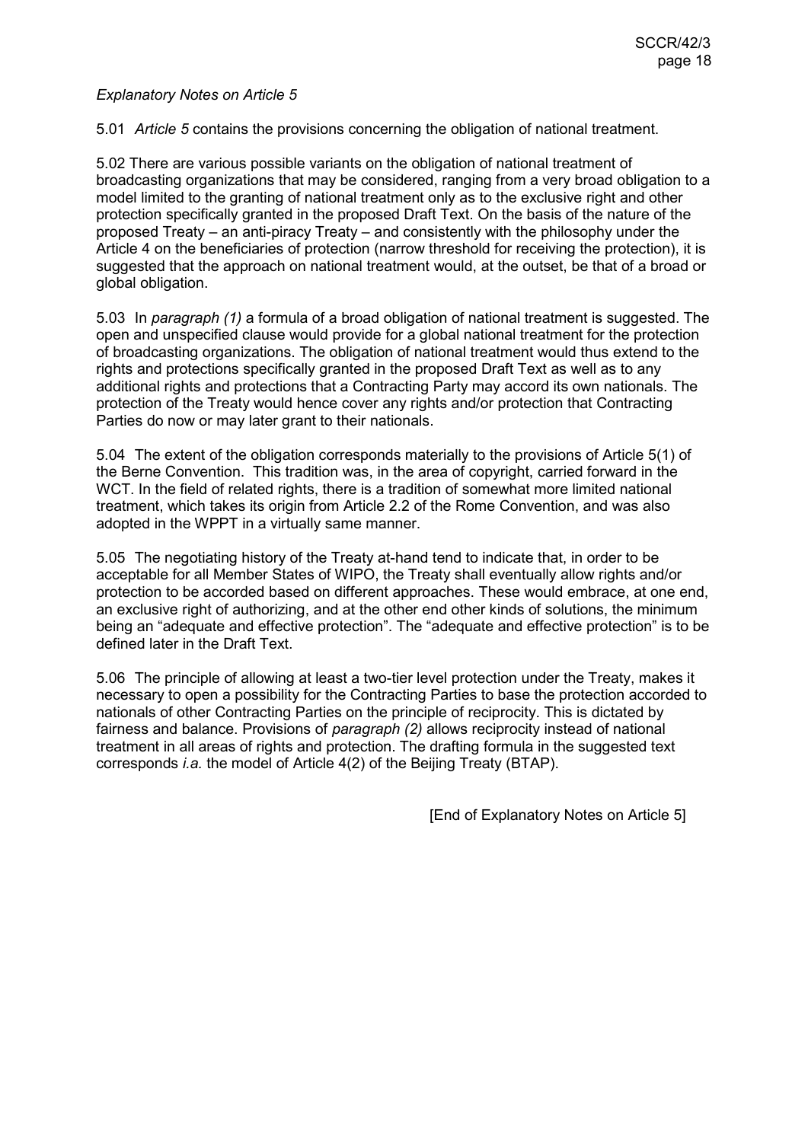5.01 *Article 5* contains the provisions concerning the obligation of national treatment.

5.02 There are various possible variants on the obligation of national treatment of broadcasting organizations that may be considered, ranging from a very broad obligation to a model limited to the granting of national treatment only as to the exclusive right and other protection specifically granted in the proposed Draft Text. On the basis of the nature of the proposed Treaty – an anti-piracy Treaty – and consistently with the philosophy under the Article 4 on the beneficiaries of protection (narrow threshold for receiving the protection), it is suggested that the approach on national treatment would, at the outset, be that of a broad or global obligation.

5.03 In *paragraph (1)* a formula of a broad obligation of national treatment is suggested. The open and unspecified clause would provide for a global national treatment for the protection of broadcasting organizations. The obligation of national treatment would thus extend to the rights and protections specifically granted in the proposed Draft Text as well as to any additional rights and protections that a Contracting Party may accord its own nationals. The protection of the Treaty would hence cover any rights and/or protection that Contracting Parties do now or may later grant to their nationals.

5.04 The extent of the obligation corresponds materially to the provisions of Article 5(1) of the Berne Convention. This tradition was, in the area of copyright, carried forward in the WCT. In the field of related rights, there is a tradition of somewhat more limited national treatment, which takes its origin from Article 2.2 of the Rome Convention, and was also adopted in the WPPT in a virtually same manner.

5.05 The negotiating history of the Treaty at-hand tend to indicate that, in order to be acceptable for all Member States of WIPO, the Treaty shall eventually allow rights and/or protection to be accorded based on different approaches. These would embrace, at one end, an exclusive right of authorizing, and at the other end other kinds of solutions, the minimum being an "adequate and effective protection". The "adequate and effective protection" is to be defined later in the Draft Text.

5.06 The principle of allowing at least a two-tier level protection under the Treaty, makes it necessary to open a possibility for the Contracting Parties to base the protection accorded to nationals of other Contracting Parties on the principle of reciprocity. This is dictated by fairness and balance. Provisions of *paragraph (2)* allows reciprocity instead of national treatment in all areas of rights and protection. The drafting formula in the suggested text corresponds *i.a.* the model of Article 4(2) of the Beijing Treaty (BTAP).

[End of Explanatory Notes on Article 5]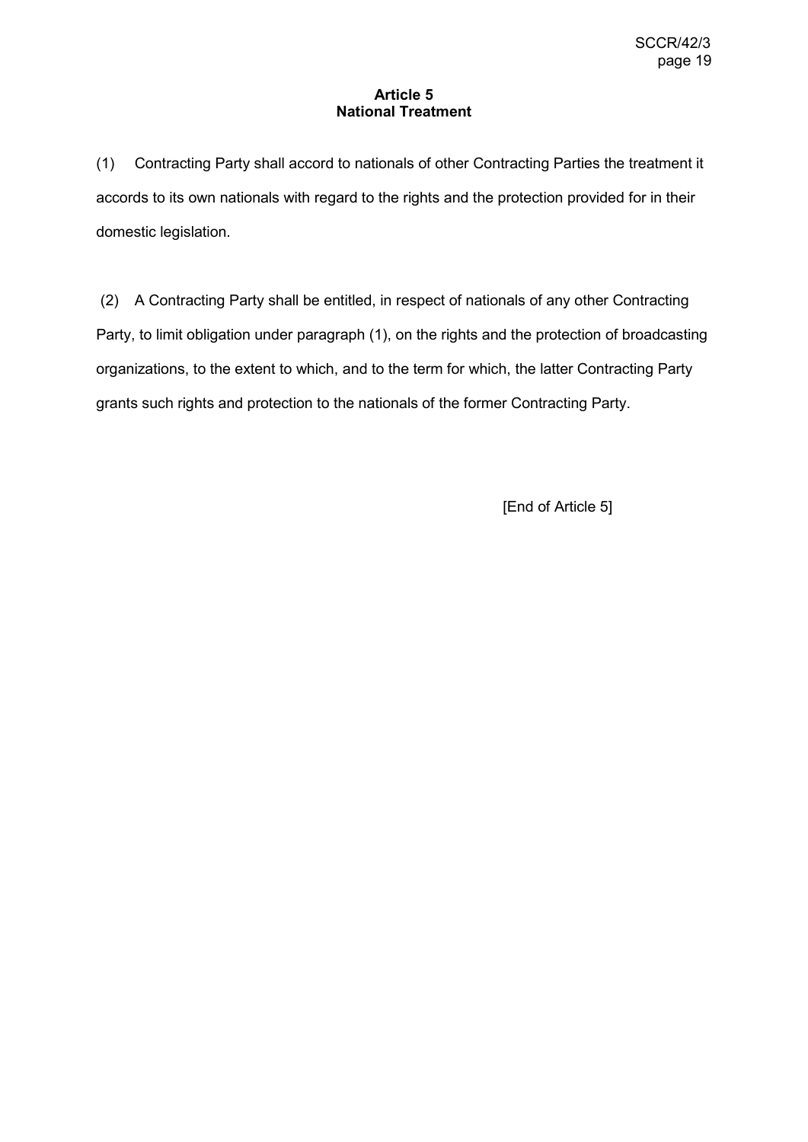## **Article 5 National Treatment**

(1) Contracting Party shall accord to nationals of other Contracting Parties the treatment it accords to its own nationals with regard to the rights and the protection provided for in their domestic legislation.

(2) A Contracting Party shall be entitled, in respect of nationals of any other Contracting Party, to limit obligation under paragraph (1), on the rights and the protection of broadcasting organizations, to the extent to which, and to the term for which, the latter Contracting Party grants such rights and protection to the nationals of the former Contracting Party.

[End of Article 5]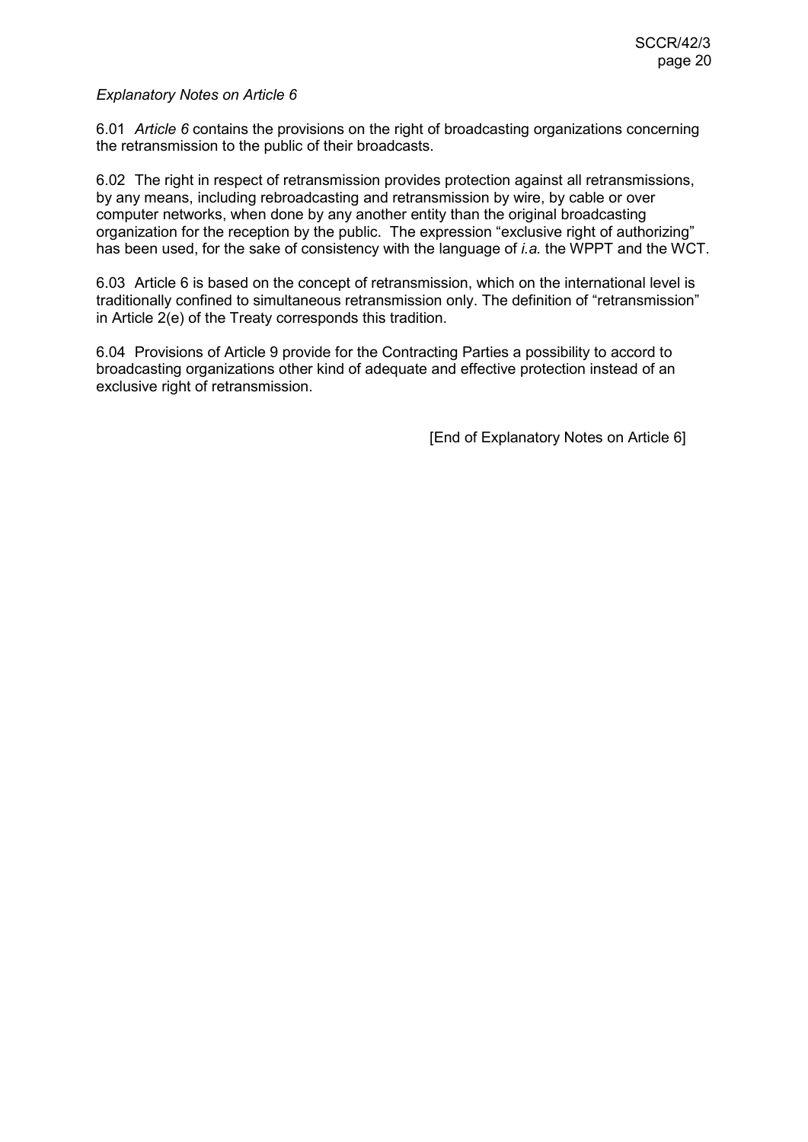6.01 *Article 6* contains the provisions on the right of broadcasting organizations concerning the retransmission to the public of their broadcasts.

6.02 The right in respect of retransmission provides protection against all retransmissions, by any means, including rebroadcasting and retransmission by wire, by cable or over computer networks, when done by any another entity than the original broadcasting organization for the reception by the public. The expression "exclusive right of authorizing" has been used, for the sake of consistency with the language of *i.a.* the WPPT and the WCT.

6.03 Article 6 is based on the concept of retransmission, which on the international level is traditionally confined to simultaneous retransmission only. The definition of "retransmission" in Article 2(e) of the Treaty corresponds this tradition.

6.04 Provisions of Article 9 provide for the Contracting Parties a possibility to accord to broadcasting organizations other kind of adequate and effective protection instead of an exclusive right of retransmission.

[End of Explanatory Notes on Article 6]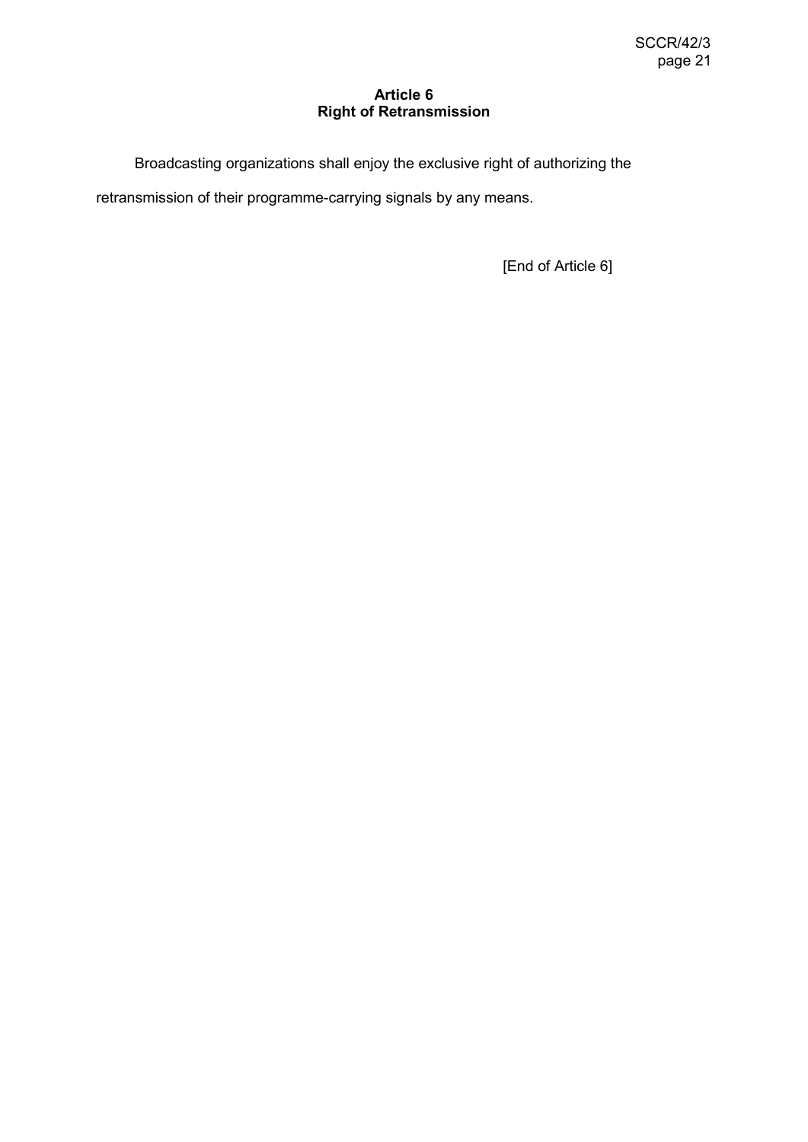## **Article 6 Right of Retransmission**

Broadcasting organizations shall enjoy the exclusive right of authorizing the retransmission of their programme-carrying signals by any means.

[End of Article 6]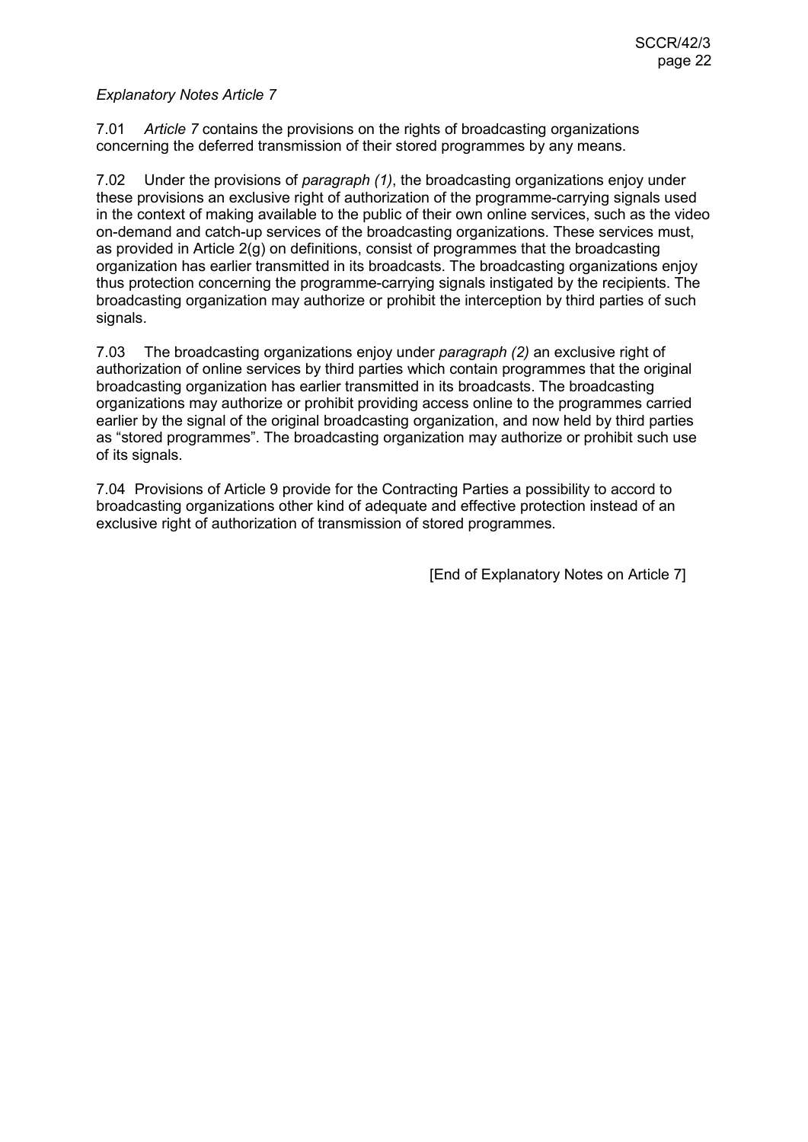7.01 *Article 7* contains the provisions on the rights of broadcasting organizations concerning the deferred transmission of their stored programmes by any means.

7.02 Under the provisions of *paragraph (1)*, the broadcasting organizations enjoy under these provisions an exclusive right of authorization of the programme-carrying signals used in the context of making available to the public of their own online services, such as the video on-demand and catch-up services of the broadcasting organizations. These services must, as provided in Article 2(g) on definitions, consist of programmes that the broadcasting organization has earlier transmitted in its broadcasts. The broadcasting organizations enjoy thus protection concerning the programme-carrying signals instigated by the recipients. The broadcasting organization may authorize or prohibit the interception by third parties of such signals.

7.03 The broadcasting organizations enjoy under *paragraph (2)* an exclusive right of authorization of online services by third parties which contain programmes that the original broadcasting organization has earlier transmitted in its broadcasts. The broadcasting organizations may authorize or prohibit providing access online to the programmes carried earlier by the signal of the original broadcasting organization, and now held by third parties as "stored programmes". The broadcasting organization may authorize or prohibit such use of its signals.

7.04 Provisions of Article 9 provide for the Contracting Parties a possibility to accord to broadcasting organizations other kind of adequate and effective protection instead of an exclusive right of authorization of transmission of stored programmes.

[End of Explanatory Notes on Article 7]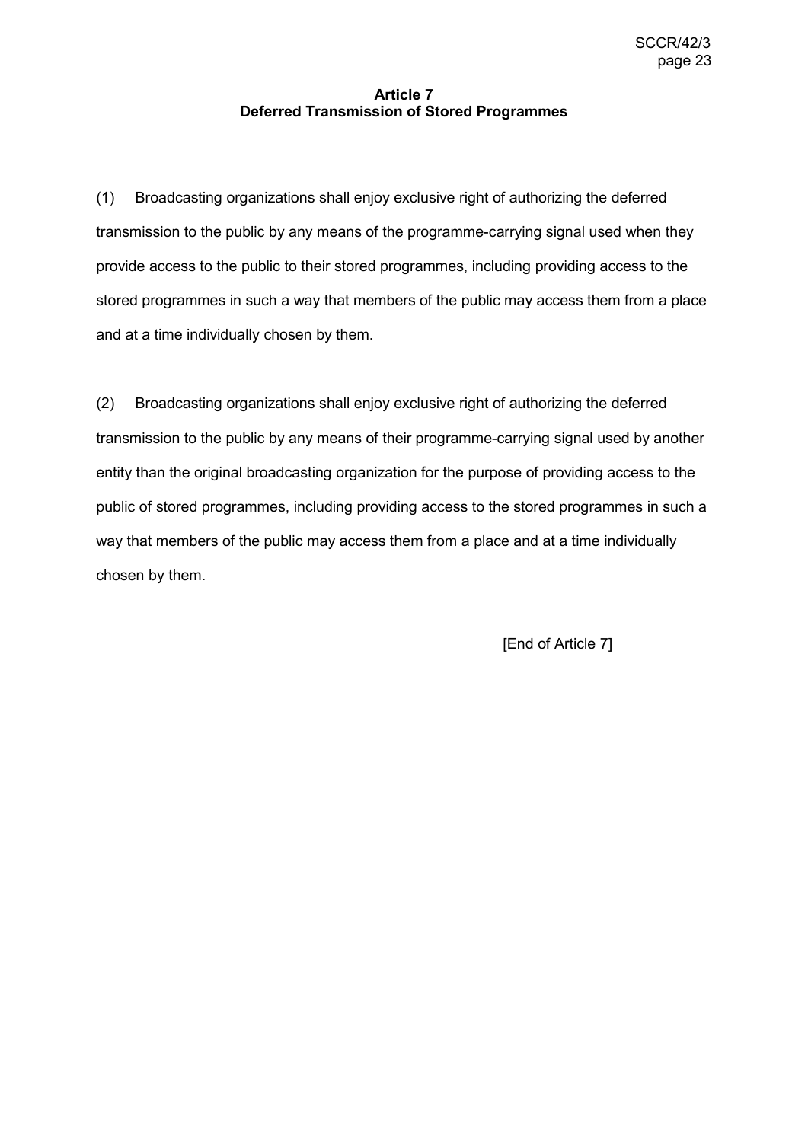# **Article 7 Deferred Transmission of Stored Programmes**

(1) Broadcasting organizations shall enjoy exclusive right of authorizing the deferred transmission to the public by any means of the programme-carrying signal used when they provide access to the public to their stored programmes, including providing access to the stored programmes in such a way that members of the public may access them from a place and at a time individually chosen by them.

(2) Broadcasting organizations shall enjoy exclusive right of authorizing the deferred transmission to the public by any means of their programme-carrying signal used by another entity than the original broadcasting organization for the purpose of providing access to the public of stored programmes, including providing access to the stored programmes in such a way that members of the public may access them from a place and at a time individually chosen by them.

[End of Article 7]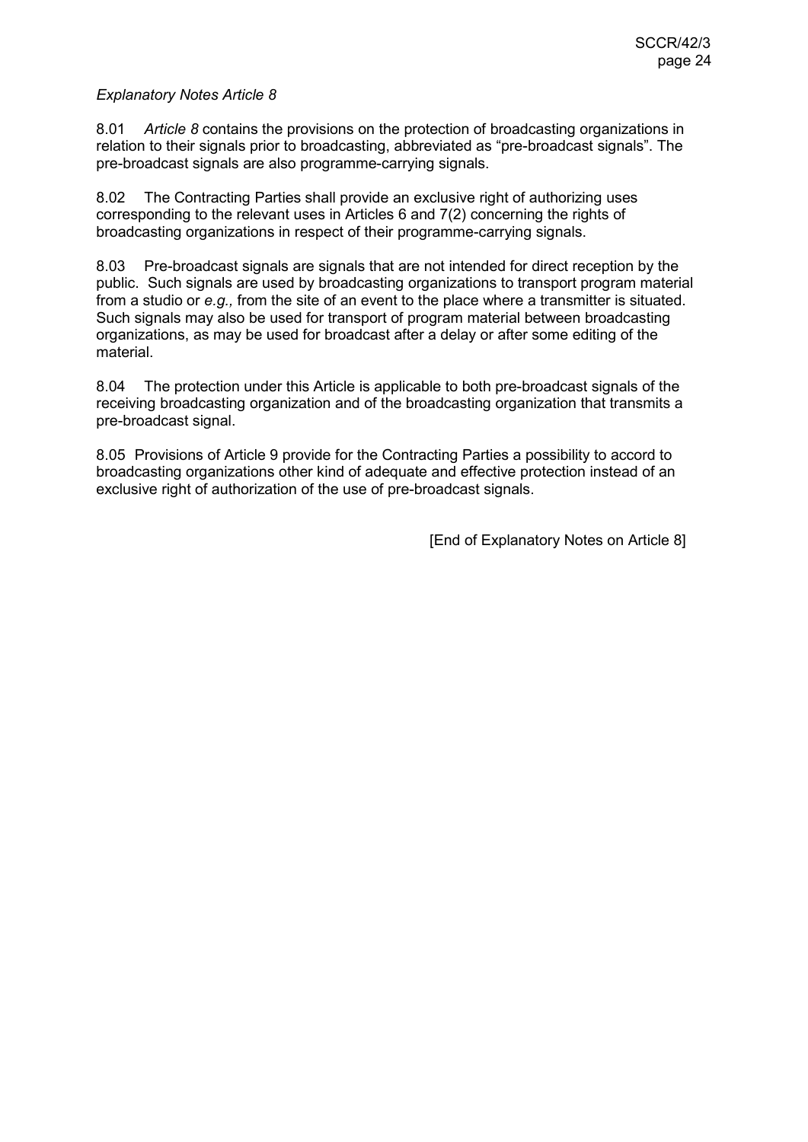8.01 *Article 8* contains the provisions on the protection of broadcasting organizations in relation to their signals prior to broadcasting, abbreviated as "pre-broadcast signals". The pre-broadcast signals are also programme-carrying signals.

8.02 The Contracting Parties shall provide an exclusive right of authorizing uses corresponding to the relevant uses in Articles 6 and 7(2) concerning the rights of broadcasting organizations in respect of their programme-carrying signals.

8.03 Pre-broadcast signals are signals that are not intended for direct reception by the public. Such signals are used by broadcasting organizations to transport program material from a studio or *e.g.,* from the site of an event to the place where a transmitter is situated. Such signals may also be used for transport of program material between broadcasting organizations, as may be used for broadcast after a delay or after some editing of the material.

8.04 The protection under this Article is applicable to both pre-broadcast signals of the receiving broadcasting organization and of the broadcasting organization that transmits a pre-broadcast signal.

8.05 Provisions of Article 9 provide for the Contracting Parties a possibility to accord to broadcasting organizations other kind of adequate and effective protection instead of an exclusive right of authorization of the use of pre-broadcast signals.

[End of Explanatory Notes on Article 8]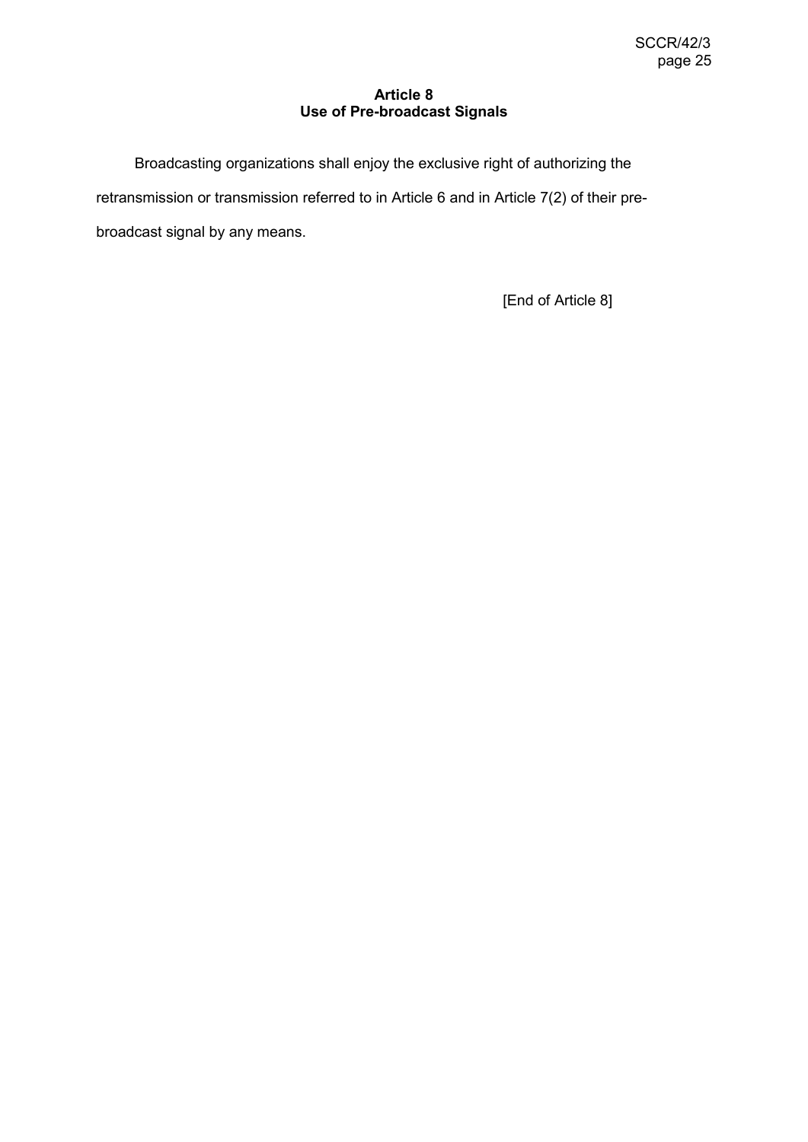## **Article 8 Use of Pre-broadcast Signals**

Broadcasting organizations shall enjoy the exclusive right of authorizing the retransmission or transmission referred to in Article 6 and in Article 7(2) of their prebroadcast signal by any means.

[End of Article 8]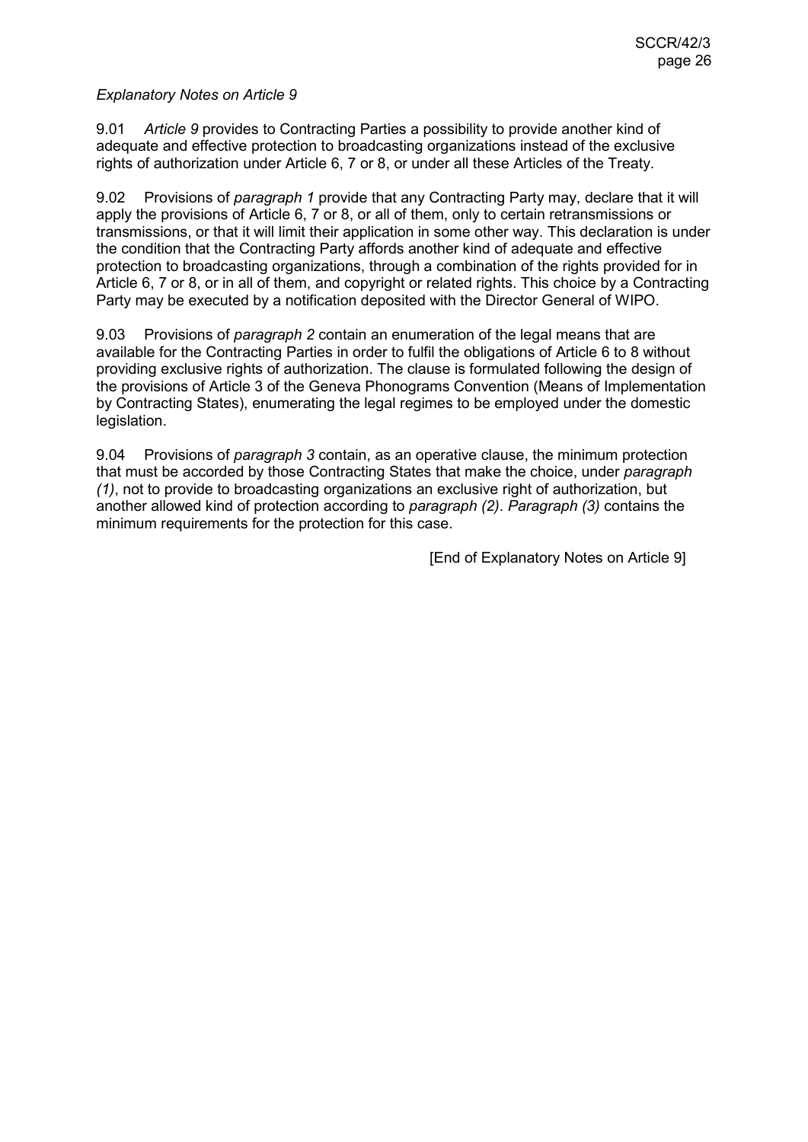9.01 *Article 9* provides to Contracting Parties a possibility to provide another kind of adequate and effective protection to broadcasting organizations instead of the exclusive rights of authorization under Article 6, 7 or 8, or under all these Articles of the Treaty.

9.02 Provisions of *paragraph 1* provide that any Contracting Party may, declare that it will apply the provisions of Article 6, 7 or 8, or all of them, only to certain retransmissions or transmissions, or that it will limit their application in some other way. This declaration is under the condition that the Contracting Party affords another kind of adequate and effective protection to broadcasting organizations, through a combination of the rights provided for in Article 6, 7 or 8, or in all of them, and copyright or related rights. This choice by a Contracting Party may be executed by a notification deposited with the Director General of WIPO.

9.03 Provisions of *paragraph 2* contain an enumeration of the legal means that are available for the Contracting Parties in order to fulfil the obligations of Article 6 to 8 without providing exclusive rights of authorization. The clause is formulated following the design of the provisions of Article 3 of the Geneva Phonograms Convention (Means of Implementation by Contracting States), enumerating the legal regimes to be employed under the domestic legislation.

9.04 Provisions of *paragraph 3* contain, as an operative clause, the minimum protection that must be accorded by those Contracting States that make the choice, under *paragraph (1)*, not to provide to broadcasting organizations an exclusive right of authorization, but another allowed kind of protection according to *paragraph (2)*. *Paragraph (3)* contains the minimum requirements for the protection for this case.

[End of Explanatory Notes on Article 9]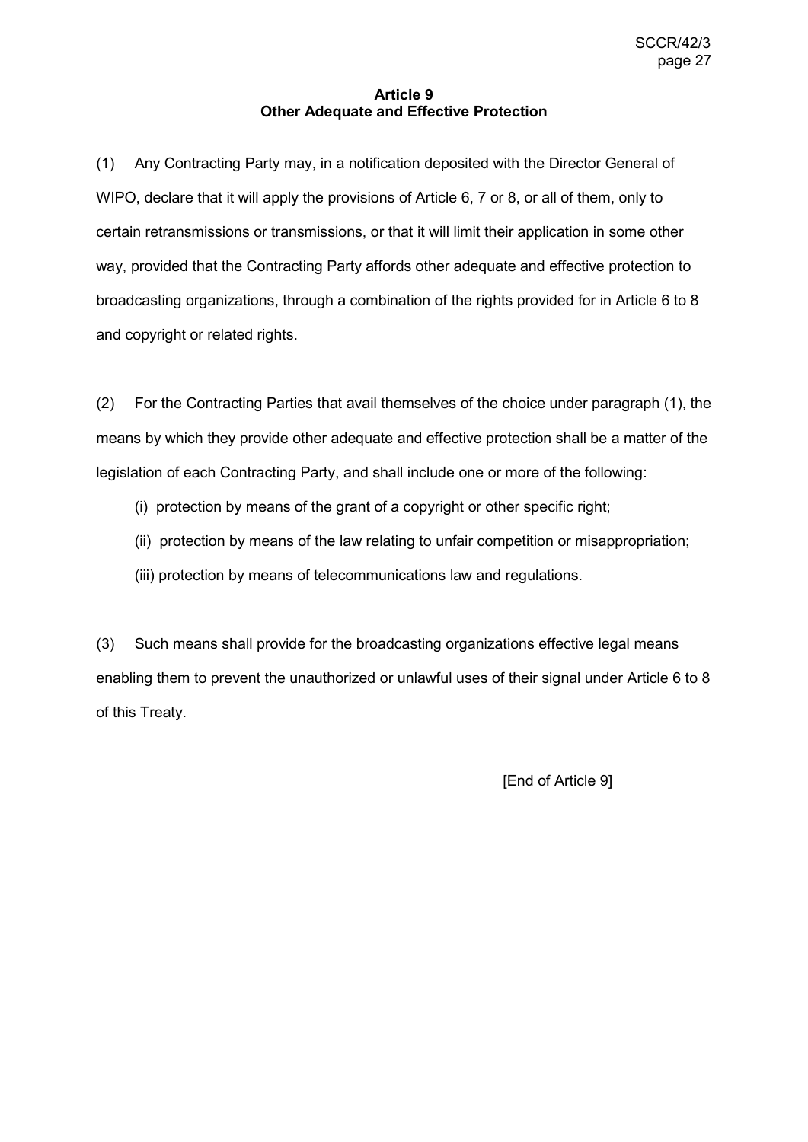#### **Article 9 Other Adequate and Effective Protection**

(1) Any Contracting Party may, in a notification deposited with the Director General of WIPO, declare that it will apply the provisions of Article 6, 7 or 8, or all of them, only to certain retransmissions or transmissions, or that it will limit their application in some other way, provided that the Contracting Party affords other adequate and effective protection to broadcasting organizations, through a combination of the rights provided for in Article 6 to 8 and copyright or related rights.

(2) For the Contracting Parties that avail themselves of the choice under paragraph (1), the means by which they provide other adequate and effective protection shall be a matter of the legislation of each Contracting Party, and shall include one or more of the following:

- (i) protection by means of the grant of a copyright or other specific right;
- (ii) protection by means of the law relating to unfair competition or misappropriation;
- (iii) protection by means of telecommunications law and regulations.

(3) Such means shall provide for the broadcasting organizations effective legal means enabling them to prevent the unauthorized or unlawful uses of their signal under Article 6 to 8 of this Treaty.

[End of Article 9]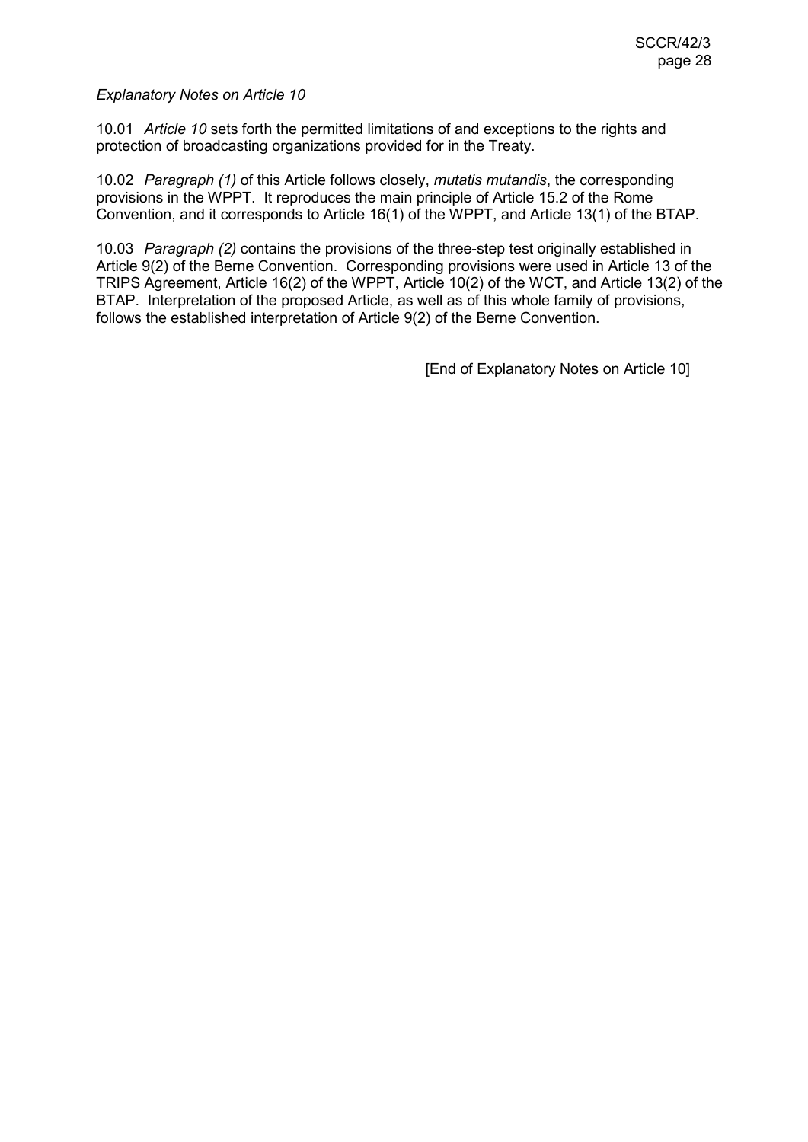10.01 *Article 10* sets forth the permitted limitations of and exceptions to the rights and protection of broadcasting organizations provided for in the Treaty.

10.02 *Paragraph (1)* of this Article follows closely, *mutatis mutandis*, the corresponding provisions in the WPPT. It reproduces the main principle of Article 15.2 of the Rome Convention, and it corresponds to Article 16(1) of the WPPT, and Article 13(1) of the BTAP.

10.03 *Paragraph (2)* contains the provisions of the three-step test originally established in Article 9(2) of the Berne Convention. Corresponding provisions were used in Article 13 of the TRIPS Agreement, Article 16(2) of the WPPT, Article 10(2) of the WCT, and Article 13(2) of the BTAP. Interpretation of the proposed Article, as well as of this whole family of provisions, follows the established interpretation of Article 9(2) of the Berne Convention.

[End of Explanatory Notes on Article 10]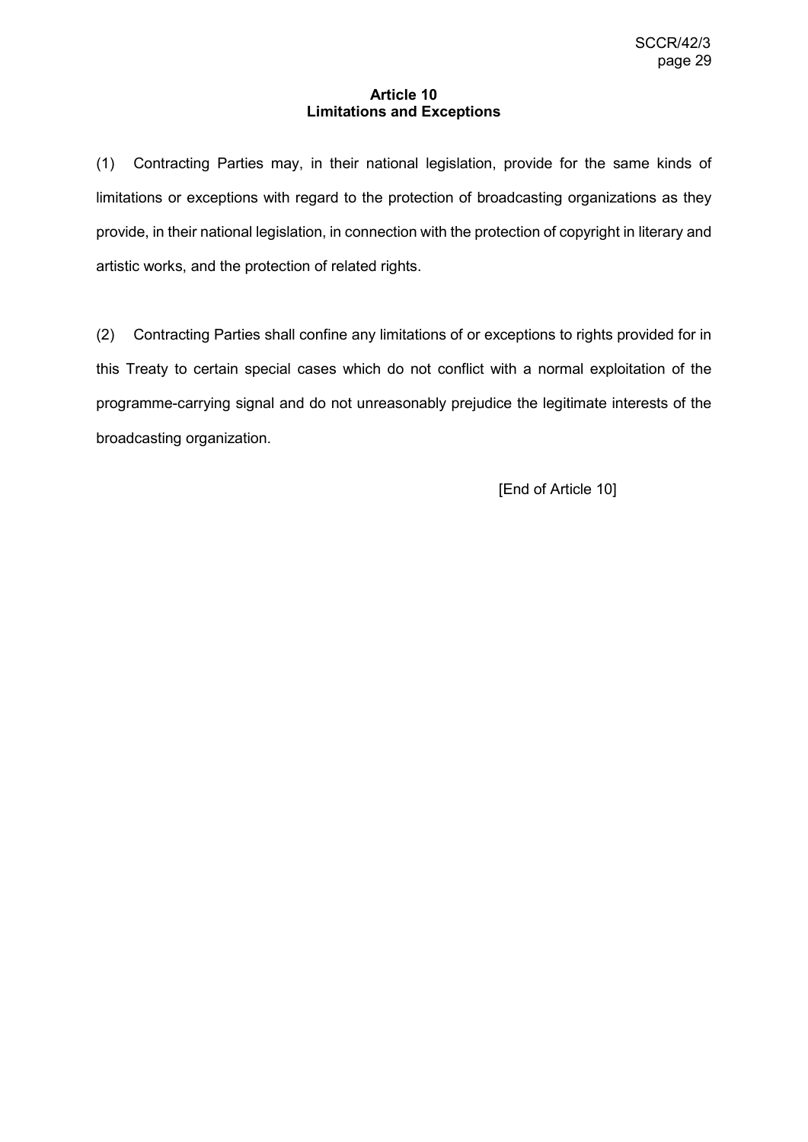#### **Article 10 Limitations and Exceptions**

(1) Contracting Parties may, in their national legislation, provide for the same kinds of limitations or exceptions with regard to the protection of broadcasting organizations as they provide, in their national legislation, in connection with the protection of copyright in literary and artistic works, and the protection of related rights.

(2) Contracting Parties shall confine any limitations of or exceptions to rights provided for in this Treaty to certain special cases which do not conflict with a normal exploitation of the programme-carrying signal and do not unreasonably prejudice the legitimate interests of the broadcasting organization.

[End of Article 10]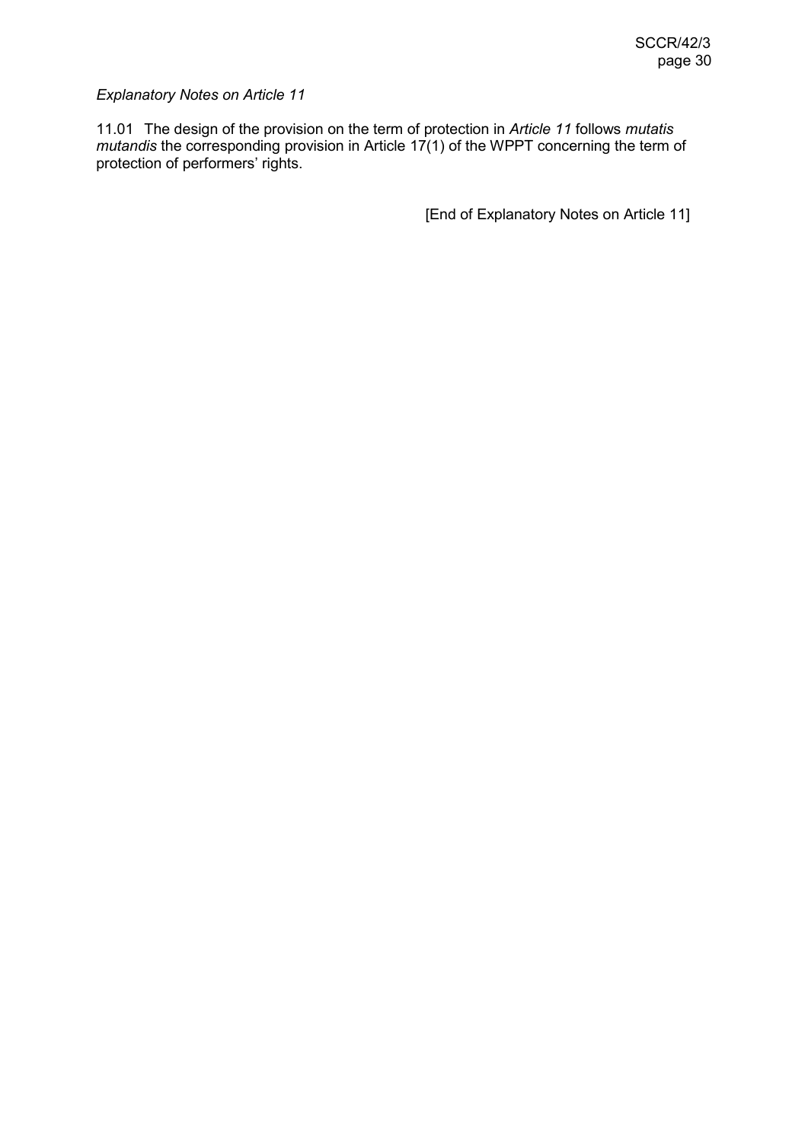11.01 The design of the provision on the term of protection in *Article 11* follows *mutatis mutandis* the corresponding provision in Article 17(1) of the WPPT concerning the term of protection of performers' rights.

[End of Explanatory Notes on Article 11]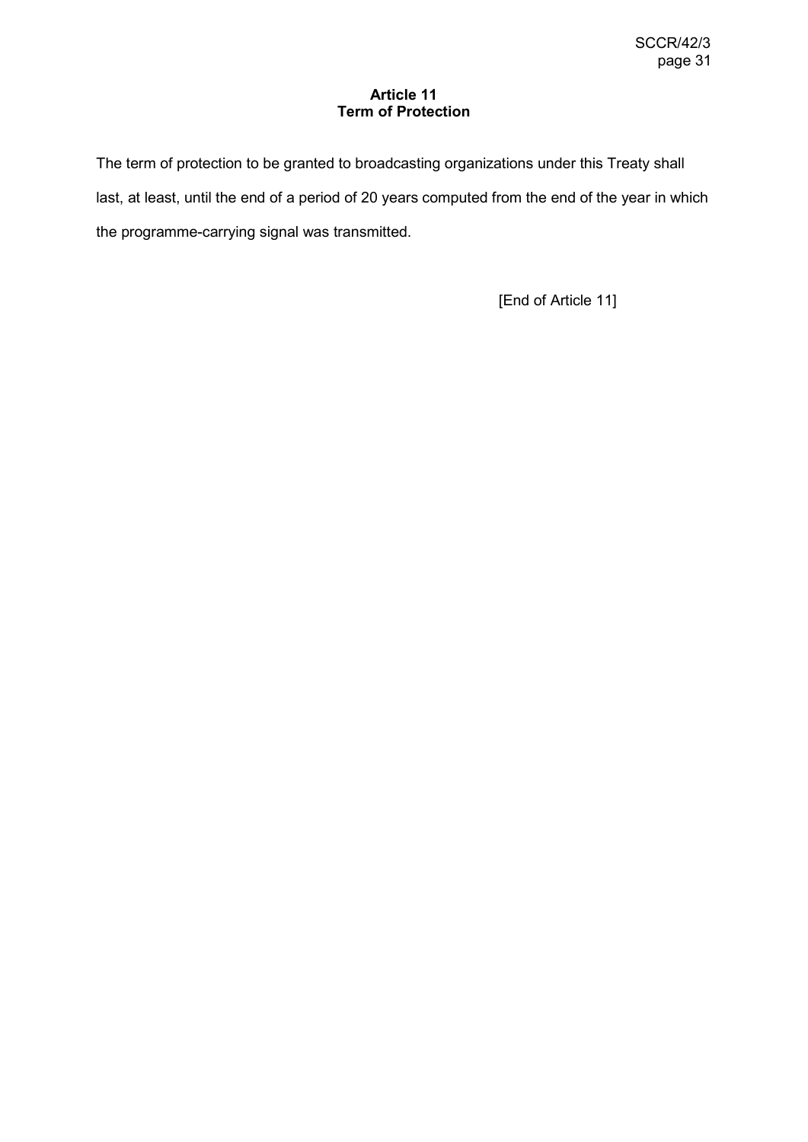## **Article 11 Term of Protection**

The term of protection to be granted to broadcasting organizations under this Treaty shall last, at least, until the end of a period of 20 years computed from the end of the year in which the programme-carrying signal was transmitted.

[End of Article 11]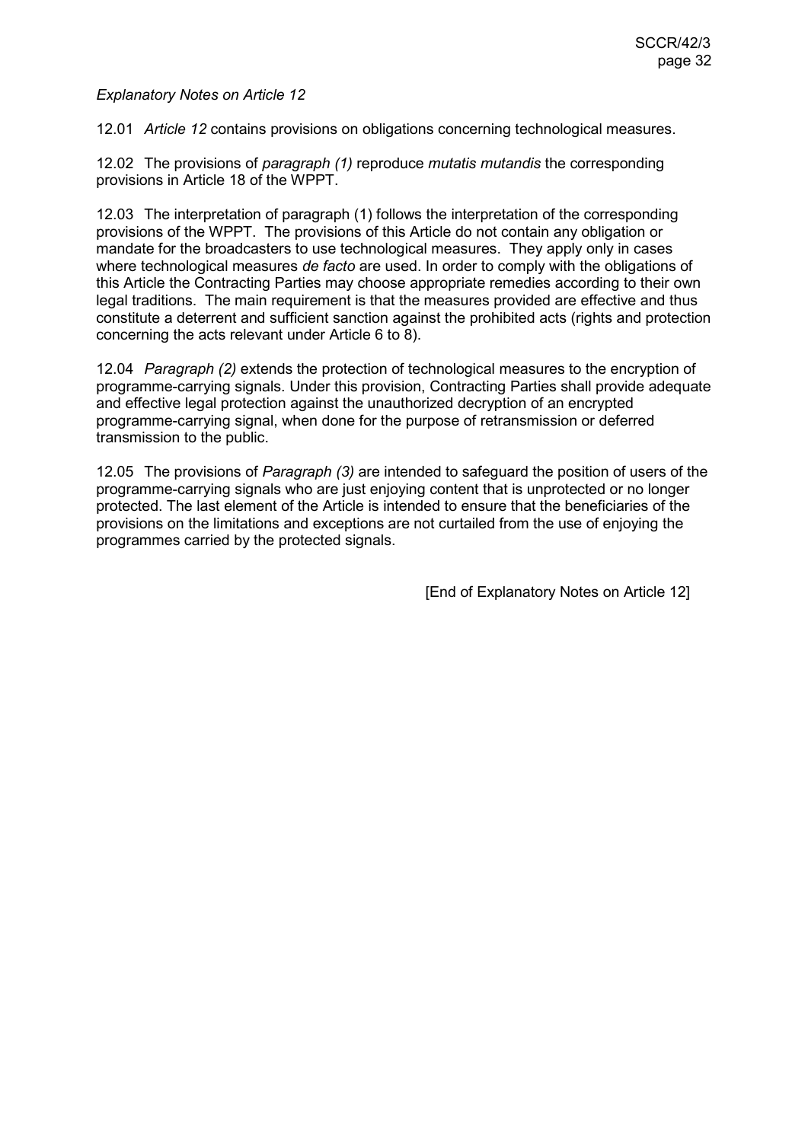12.01 *Article 12* contains provisions on obligations concerning technological measures.

12.02 The provisions of *paragraph (1)* reproduce *mutatis mutandis* the corresponding provisions in Article 18 of the WPPT.

12.03 The interpretation of paragraph (1) follows the interpretation of the corresponding provisions of the WPPT. The provisions of this Article do not contain any obligation or mandate for the broadcasters to use technological measures. They apply only in cases where technological measures *de facto* are used. In order to comply with the obligations of this Article the Contracting Parties may choose appropriate remedies according to their own legal traditions. The main requirement is that the measures provided are effective and thus constitute a deterrent and sufficient sanction against the prohibited acts (rights and protection concerning the acts relevant under Article 6 to 8).

12.04 *Paragraph (2)* extends the protection of technological measures to the encryption of programme-carrying signals. Under this provision, Contracting Parties shall provide adequate and effective legal protection against the unauthorized decryption of an encrypted programme-carrying signal, when done for the purpose of retransmission or deferred transmission to the public.

12.05 The provisions of *Paragraph (3)* are intended to safeguard the position of users of the programme-carrying signals who are just enjoying content that is unprotected or no longer protected. The last element of the Article is intended to ensure that the beneficiaries of the provisions on the limitations and exceptions are not curtailed from the use of enjoying the programmes carried by the protected signals.

[End of Explanatory Notes on Article 12]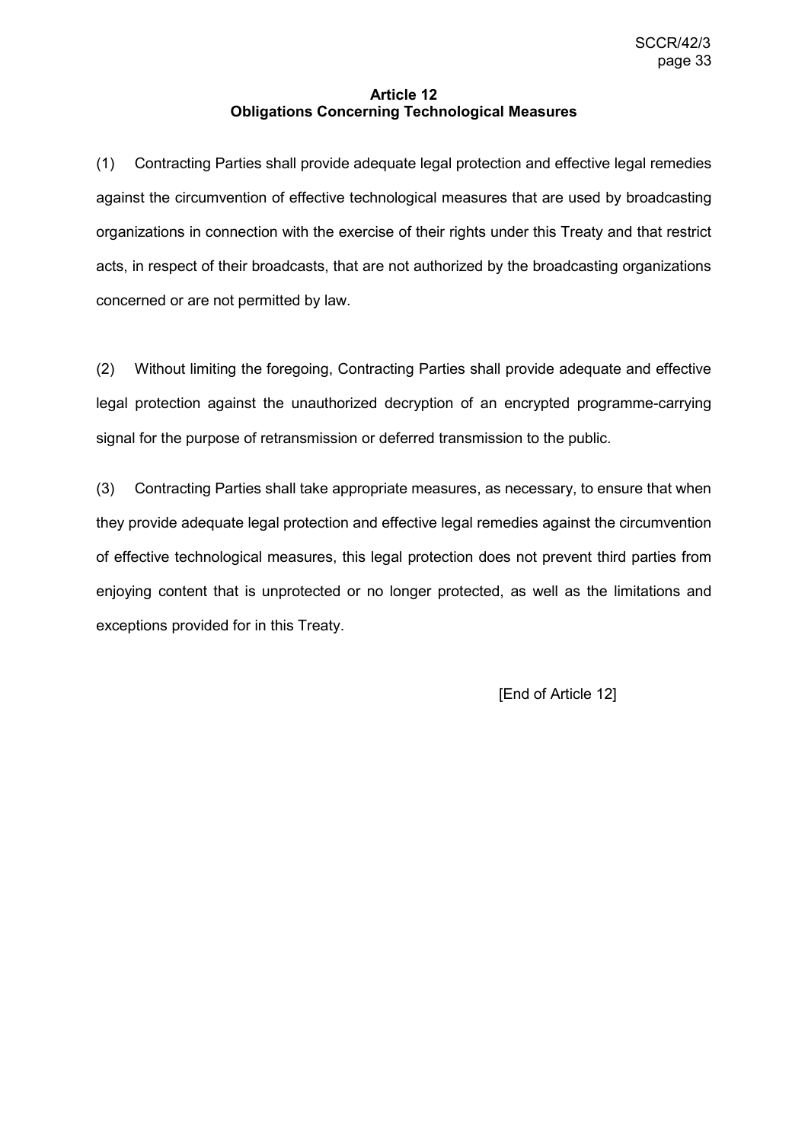## **Article 12 Obligations Concerning Technological Measures**

(1) Contracting Parties shall provide adequate legal protection and effective legal remedies against the circumvention of effective technological measures that are used by broadcasting organizations in connection with the exercise of their rights under this Treaty and that restrict acts, in respect of their broadcasts, that are not authorized by the broadcasting organizations concerned or are not permitted by law.

(2) Without limiting the foregoing, Contracting Parties shall provide adequate and effective legal protection against the unauthorized decryption of an encrypted programme-carrying signal for the purpose of retransmission or deferred transmission to the public.

(3) Contracting Parties shall take appropriate measures, as necessary, to ensure that when they provide adequate legal protection and effective legal remedies against the circumvention of effective technological measures, this legal protection does not prevent third parties from enjoying content that is unprotected or no longer protected, as well as the limitations and exceptions provided for in this Treaty.

[End of Article 12]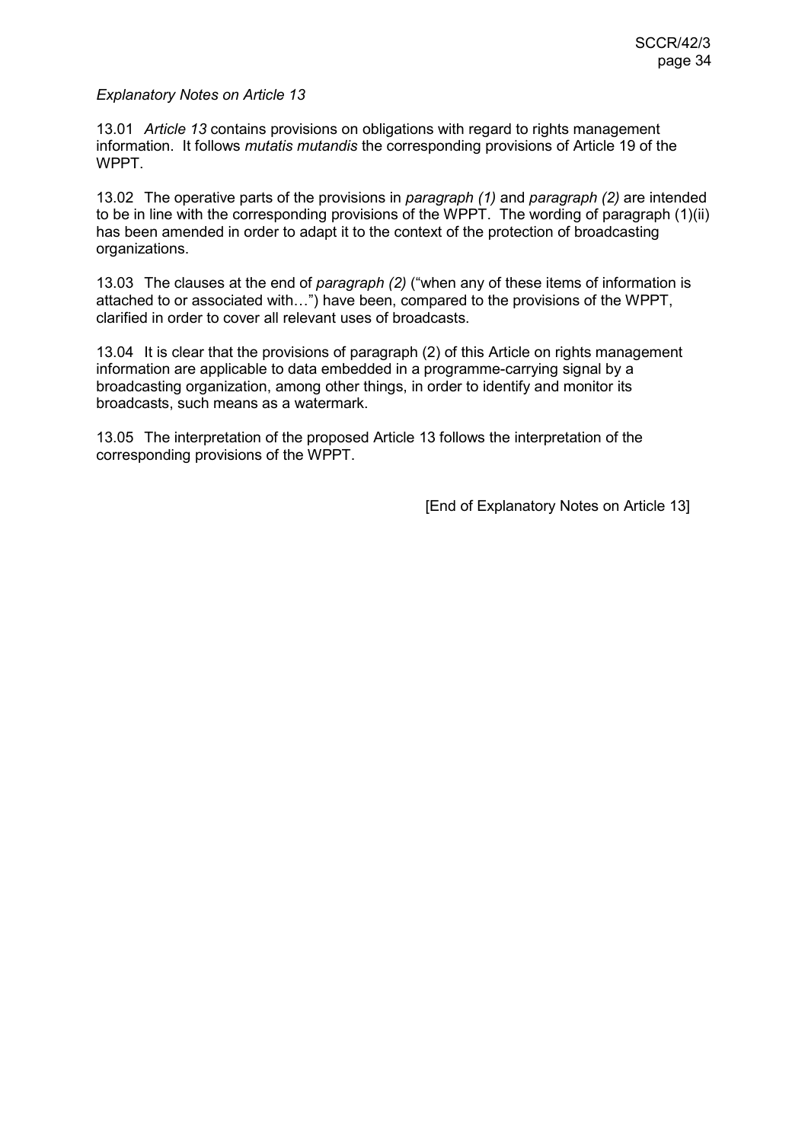13.01 *Article 13* contains provisions on obligations with regard to rights management information. It follows *mutatis mutandis* the corresponding provisions of Article 19 of the WPPT.

13.02 The operative parts of the provisions in *paragraph (1)* and *paragraph (2)* are intended to be in line with the corresponding provisions of the WPPT. The wording of paragraph (1)(ii) has been amended in order to adapt it to the context of the protection of broadcasting organizations.

13.03 The clauses at the end of *paragraph (2)* ("when any of these items of information is attached to or associated with…") have been, compared to the provisions of the WPPT, clarified in order to cover all relevant uses of broadcasts.

13.04 It is clear that the provisions of paragraph (2) of this Article on rights management information are applicable to data embedded in a programme-carrying signal by a broadcasting organization, among other things, in order to identify and monitor its broadcasts, such means as a watermark.

13.05 The interpretation of the proposed Article 13 follows the interpretation of the corresponding provisions of the WPPT.

[End of Explanatory Notes on Article 13]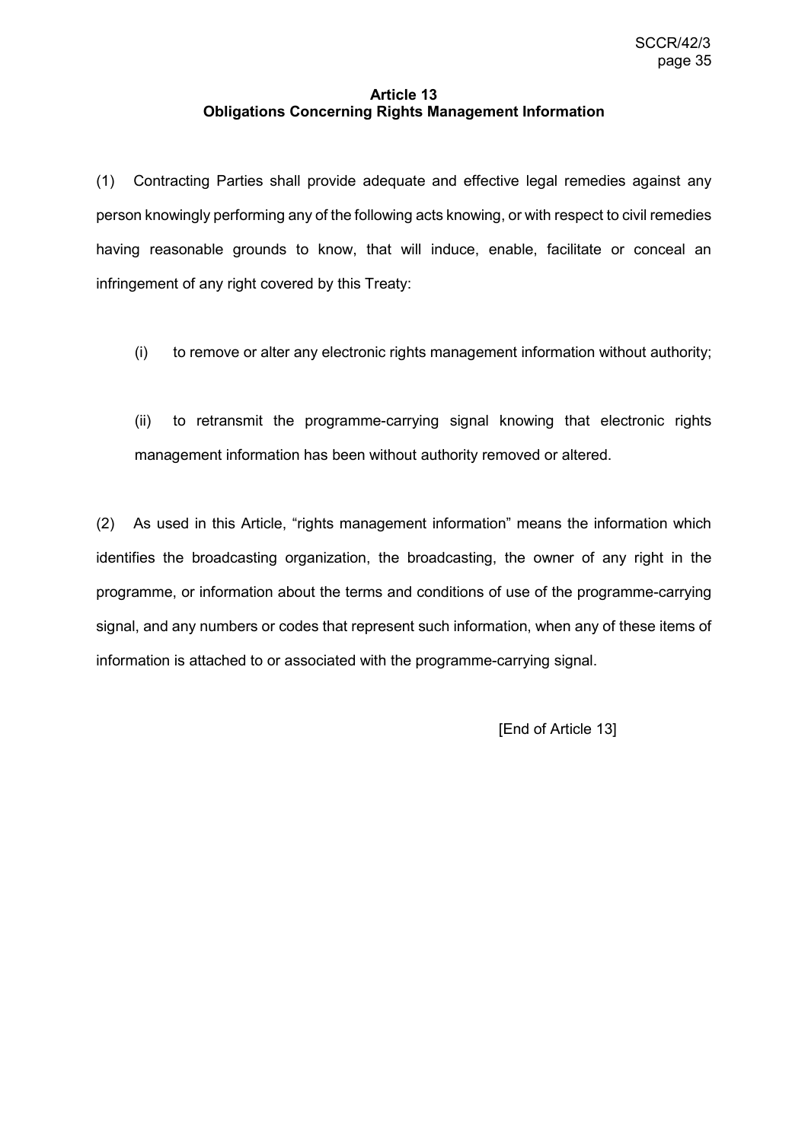## **Article 13 Obligations Concerning Rights Management Information**

(1) Contracting Parties shall provide adequate and effective legal remedies against any person knowingly performing any of the following acts knowing, or with respect to civil remedies having reasonable grounds to know, that will induce, enable, facilitate or conceal an infringement of any right covered by this Treaty:

(i) to remove or alter any electronic rights management information without authority;

(ii) to retransmit the programme-carrying signal knowing that electronic rights management information has been without authority removed or altered.

(2) As used in this Article, "rights management information" means the information which identifies the broadcasting organization, the broadcasting, the owner of any right in the programme, or information about the terms and conditions of use of the programme-carrying signal, and any numbers or codes that represent such information, when any of these items of information is attached to or associated with the programme-carrying signal.

[End of Article 13]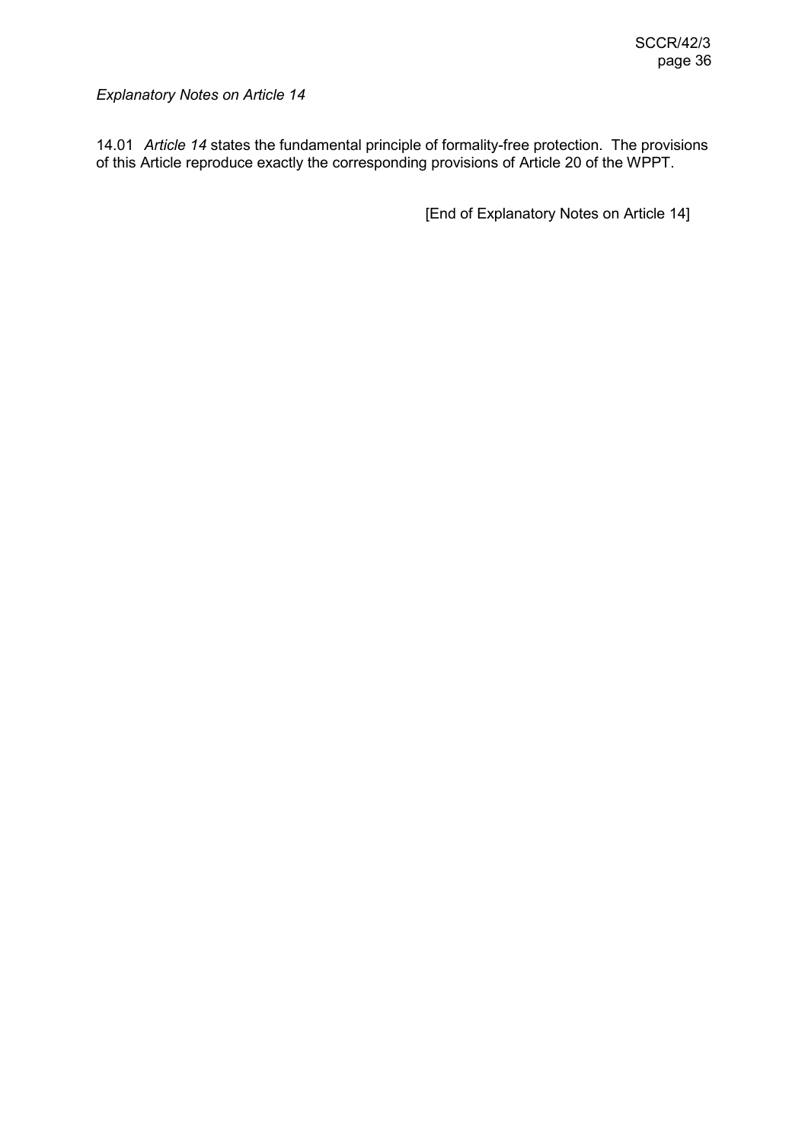14.01 *Article 14* states the fundamental principle of formality-free protection. The provisions of this Article reproduce exactly the corresponding provisions of Article 20 of the WPPT.

[End of Explanatory Notes on Article 14]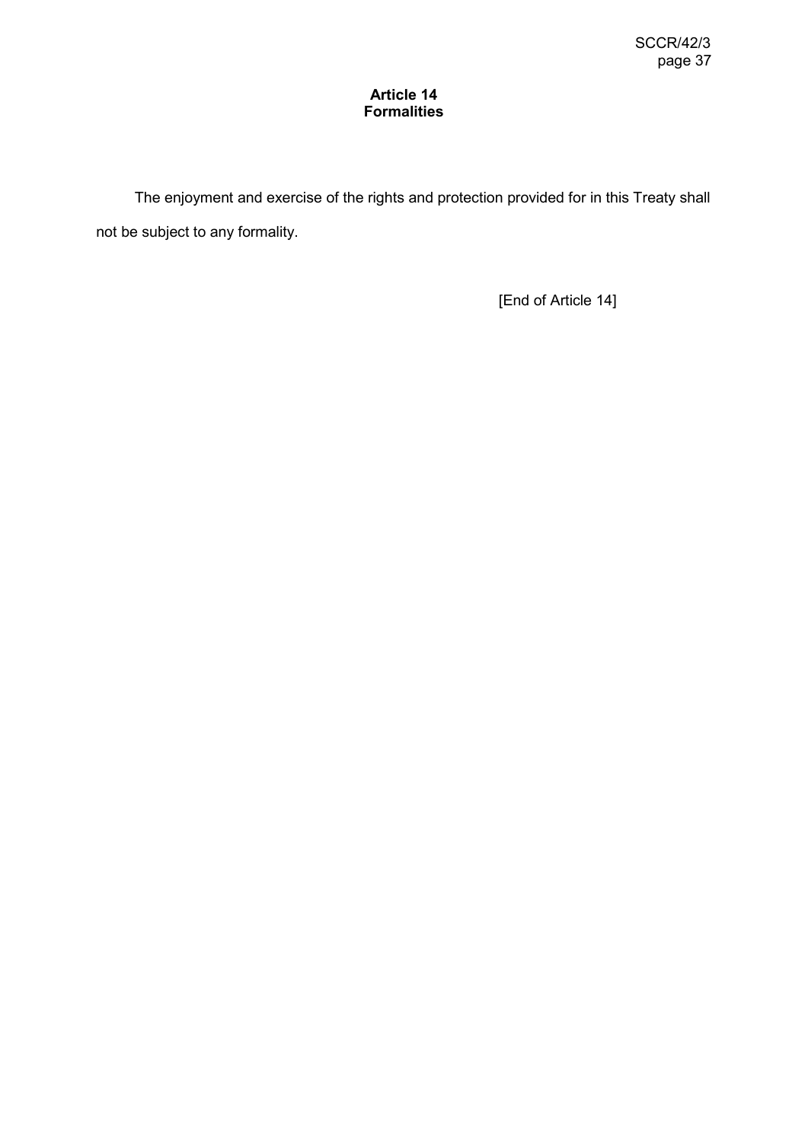## **Article 14 Formalities**

The enjoyment and exercise of the rights and protection provided for in this Treaty shall not be subject to any formality.

[End of Article 14]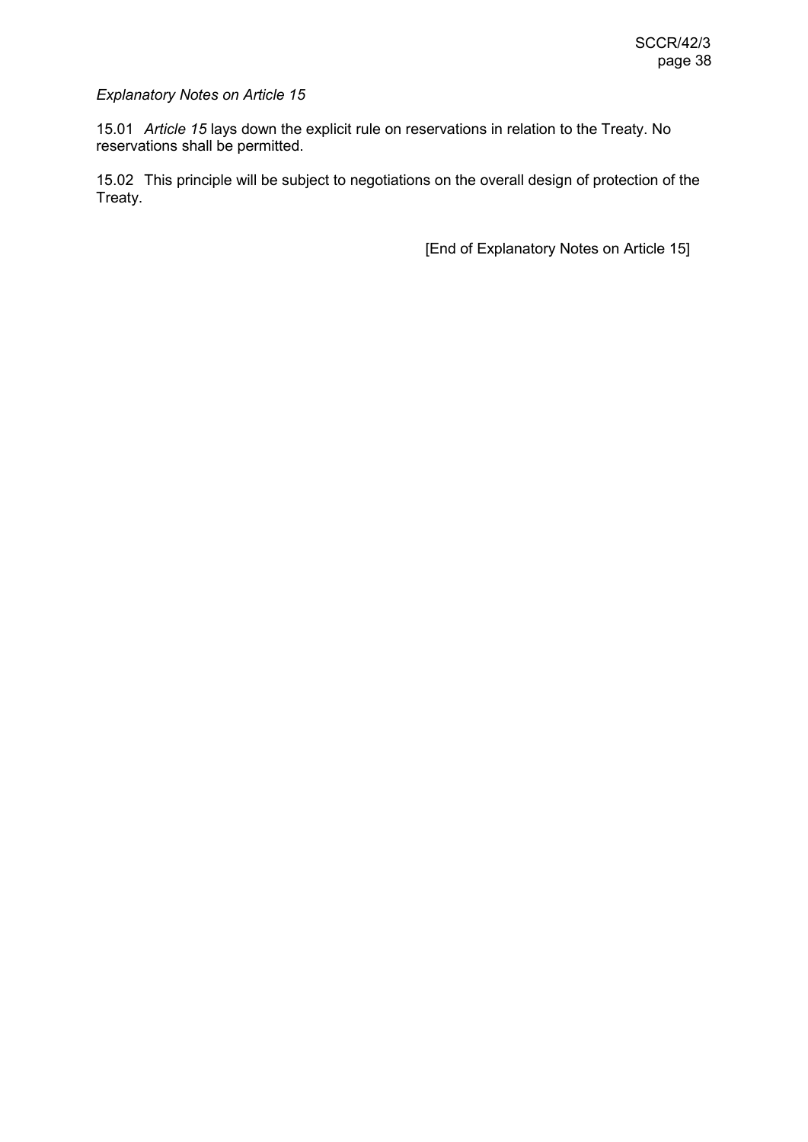15.01 *Article 15* lays down the explicit rule on reservations in relation to the Treaty. No reservations shall be permitted.

15.02 This principle will be subject to negotiations on the overall design of protection of the Treaty.

[End of Explanatory Notes on Article 15]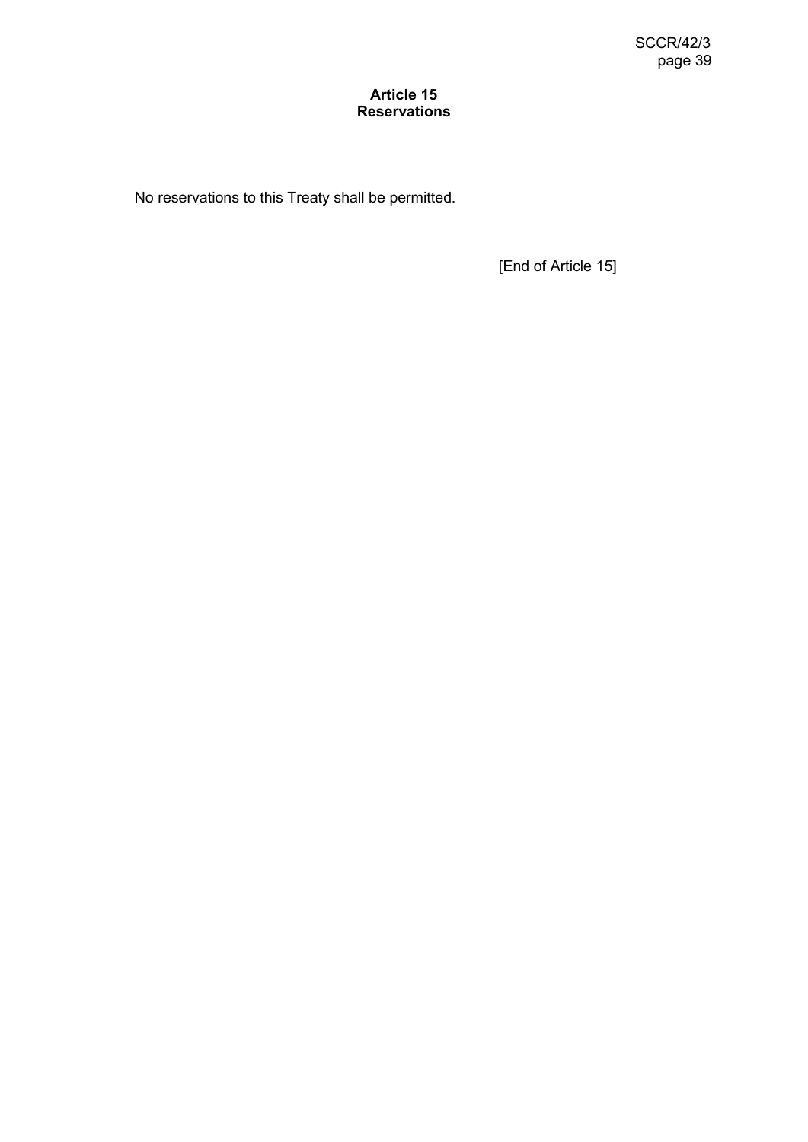## **Article 15 Reservations**

No reservations to this Treaty shall be permitted.

[End of Article 15]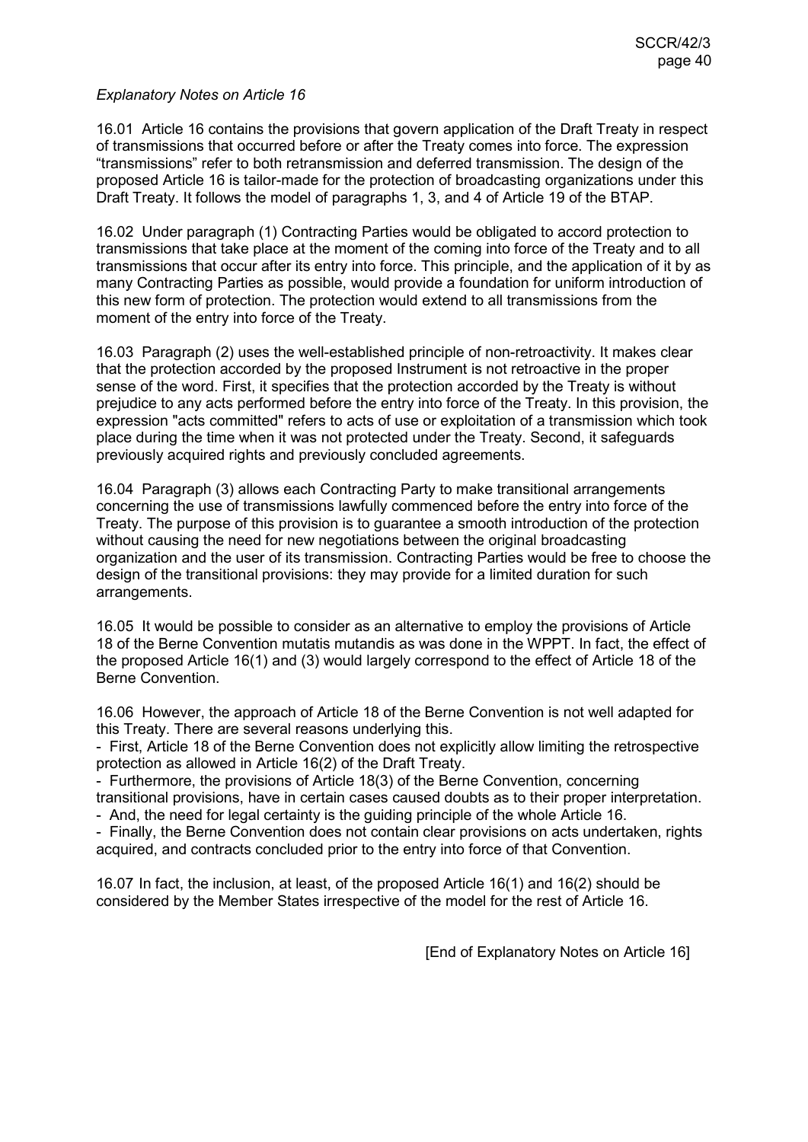16.01 Article 16 contains the provisions that govern application of the Draft Treaty in respect of transmissions that occurred before or after the Treaty comes into force. The expression "transmissions" refer to both retransmission and deferred transmission. The design of the proposed Article 16 is tailor-made for the protection of broadcasting organizations under this Draft Treaty. It follows the model of paragraphs 1, 3, and 4 of Article 19 of the BTAP.

16.02 Under paragraph (1) Contracting Parties would be obligated to accord protection to transmissions that take place at the moment of the coming into force of the Treaty and to all transmissions that occur after its entry into force. This principle, and the application of it by as many Contracting Parties as possible, would provide a foundation for uniform introduction of this new form of protection. The protection would extend to all transmissions from the moment of the entry into force of the Treaty.

16.03 Paragraph (2) uses the well-established principle of non-retroactivity. It makes clear that the protection accorded by the proposed Instrument is not retroactive in the proper sense of the word. First, it specifies that the protection accorded by the Treaty is without prejudice to any acts performed before the entry into force of the Treaty. In this provision, the expression "acts committed" refers to acts of use or exploitation of a transmission which took place during the time when it was not protected under the Treaty. Second, it safeguards previously acquired rights and previously concluded agreements.

16.04 Paragraph (3) allows each Contracting Party to make transitional arrangements concerning the use of transmissions lawfully commenced before the entry into force of the Treaty. The purpose of this provision is to guarantee a smooth introduction of the protection without causing the need for new negotiations between the original broadcasting organization and the user of its transmission. Contracting Parties would be free to choose the design of the transitional provisions: they may provide for a limited duration for such arrangements.

16.05 It would be possible to consider as an alternative to employ the provisions of Article 18 of the Berne Convention mutatis mutandis as was done in the WPPT. In fact, the effect of the proposed Article 16(1) and (3) would largely correspond to the effect of Article 18 of the Berne Convention.

16.06 However, the approach of Article 18 of the Berne Convention is not well adapted for this Treaty. There are several reasons underlying this.

- First, Article 18 of the Berne Convention does not explicitly allow limiting the retrospective protection as allowed in Article 16(2) of the Draft Treaty.

- Furthermore, the provisions of Article 18(3) of the Berne Convention, concerning transitional provisions, have in certain cases caused doubts as to their proper interpretation.

- And, the need for legal certainty is the guiding principle of the whole Article 16.

- Finally, the Berne Convention does not contain clear provisions on acts undertaken, rights acquired, and contracts concluded prior to the entry into force of that Convention.

16.07 In fact, the inclusion, at least, of the proposed Article 16(1) and 16(2) should be considered by the Member States irrespective of the model for the rest of Article 16.

[End of Explanatory Notes on Article 16]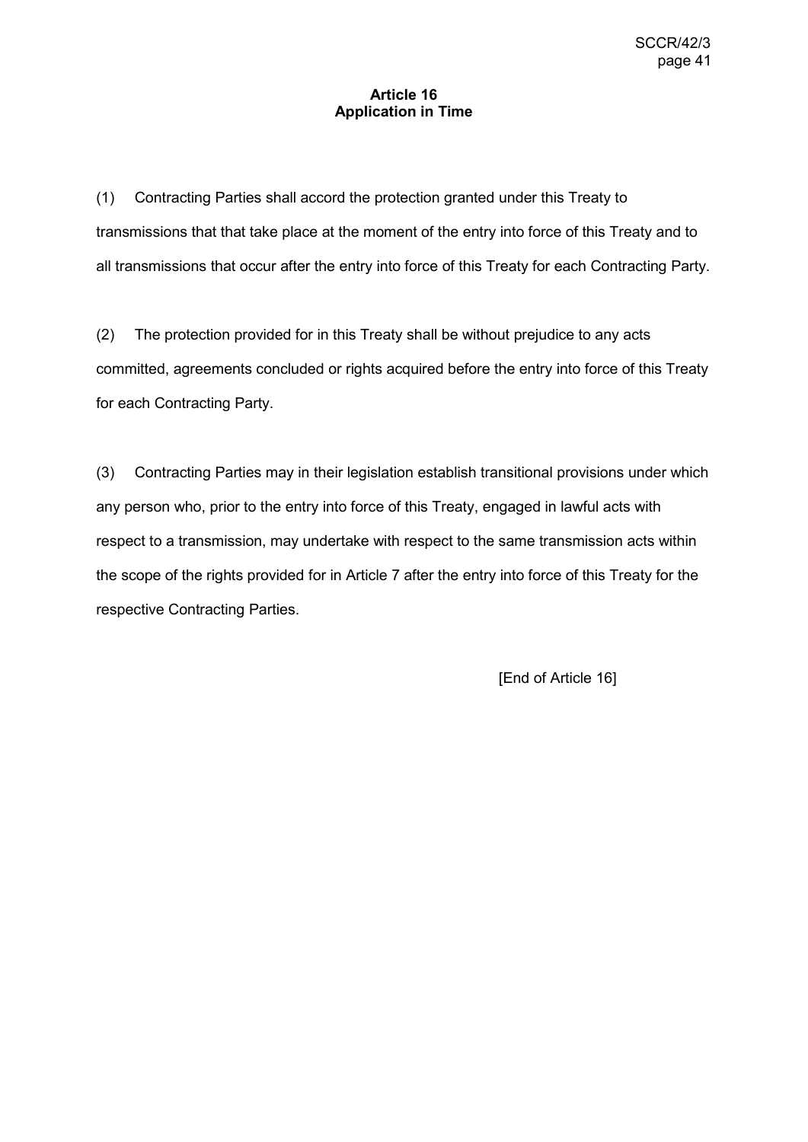## **Article 16 Application in Time**

(1) Contracting Parties shall accord the protection granted under this Treaty to transmissions that that take place at the moment of the entry into force of this Treaty and to all transmissions that occur after the entry into force of this Treaty for each Contracting Party.

(2) The protection provided for in this Treaty shall be without prejudice to any acts committed, agreements concluded or rights acquired before the entry into force of this Treaty for each Contracting Party.

(3) Contracting Parties may in their legislation establish transitional provisions under which any person who, prior to the entry into force of this Treaty, engaged in lawful acts with respect to a transmission, may undertake with respect to the same transmission acts within the scope of the rights provided for in Article 7 after the entry into force of this Treaty for the respective Contracting Parties.

[End of Article 16]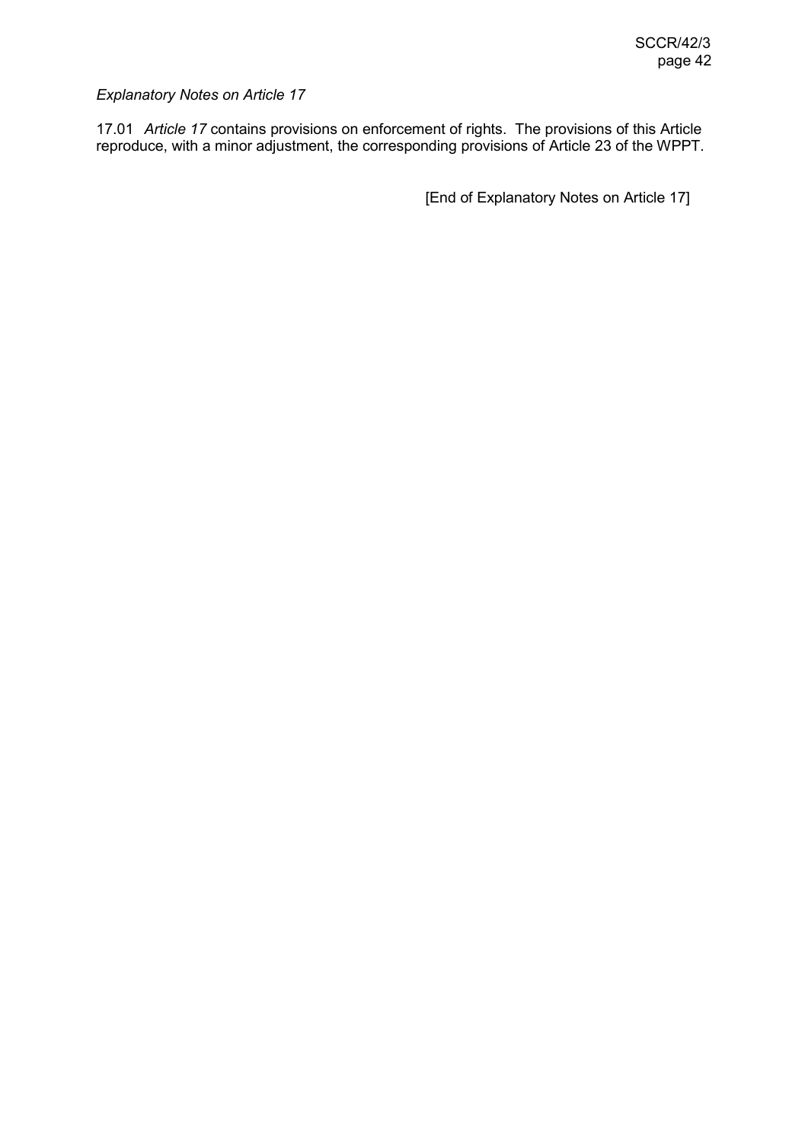17.01 *Article 17* contains provisions on enforcement of rights. The provisions of this Article reproduce, with a minor adjustment, the corresponding provisions of Article 23 of the WPPT.

[End of Explanatory Notes on Article 17]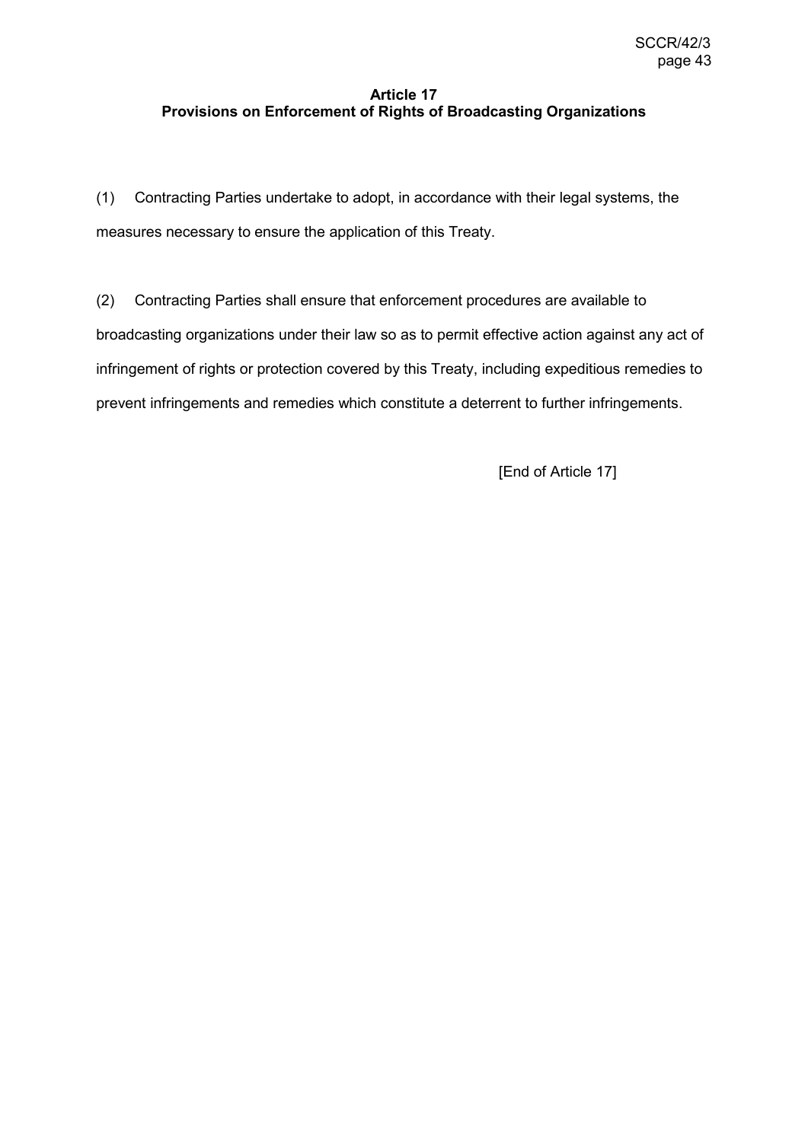# **Article 17 Provisions on Enforcement of Rights of Broadcasting Organizations**

(1) Contracting Parties undertake to adopt, in accordance with their legal systems, the measures necessary to ensure the application of this Treaty.

(2) Contracting Parties shall ensure that enforcement procedures are available to broadcasting organizations under their law so as to permit effective action against any act of infringement of rights or protection covered by this Treaty, including expeditious remedies to prevent infringements and remedies which constitute a deterrent to further infringements.

[End of Article 17]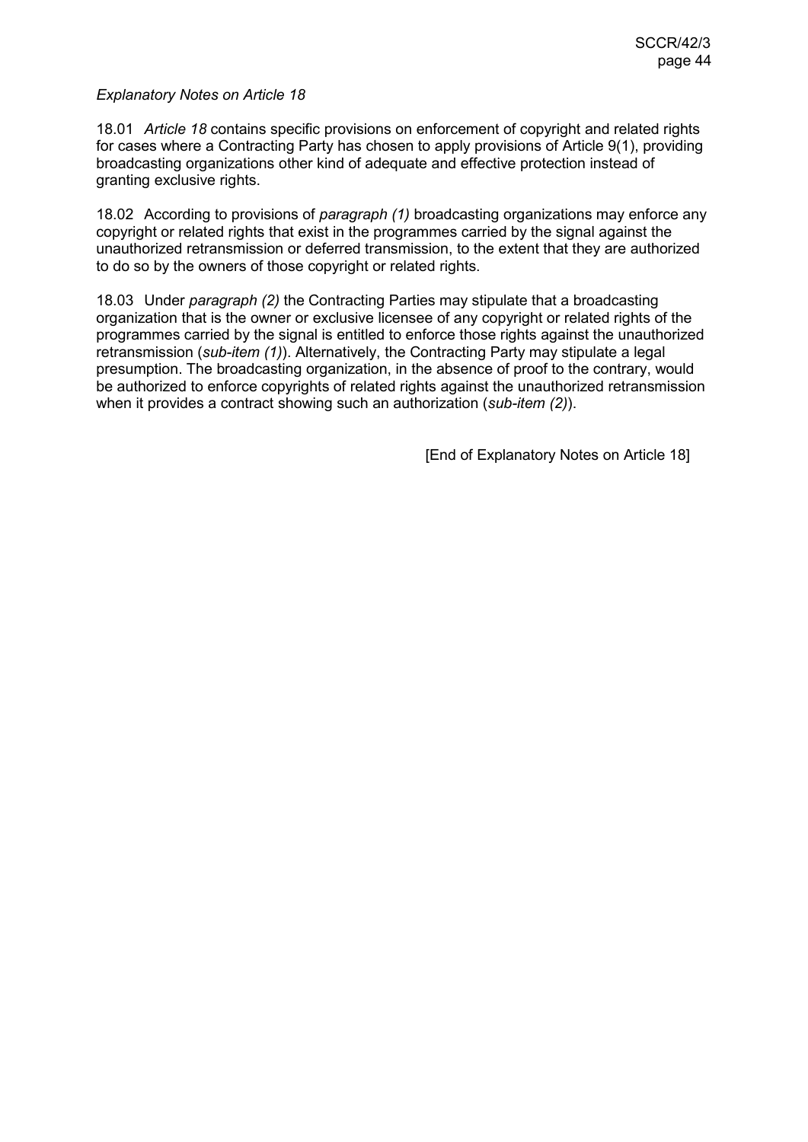18.01 *Article 18* contains specific provisions on enforcement of copyright and related rights for cases where a Contracting Party has chosen to apply provisions of Article 9(1), providing broadcasting organizations other kind of adequate and effective protection instead of granting exclusive rights.

18.02 According to provisions of *paragraph (1)* broadcasting organizations may enforce any copyright or related rights that exist in the programmes carried by the signal against the unauthorized retransmission or deferred transmission, to the extent that they are authorized to do so by the owners of those copyright or related rights.

18.03 Under *paragraph (2)* the Contracting Parties may stipulate that a broadcasting organization that is the owner or exclusive licensee of any copyright or related rights of the programmes carried by the signal is entitled to enforce those rights against the unauthorized retransmission (*sub-item (1)*). Alternatively, the Contracting Party may stipulate a legal presumption. The broadcasting organization, in the absence of proof to the contrary, would be authorized to enforce copyrights of related rights against the unauthorized retransmission when it provides a contract showing such an authorization (*sub-item (2)*).

[End of Explanatory Notes on Article 18]